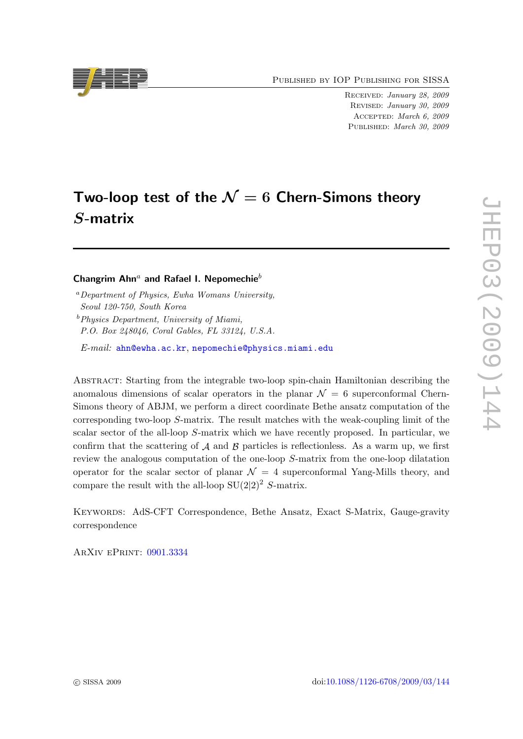Published by IOP Publishing for SISSA

Received: January 28, 2009 Revised: January 30, 2009 Accepted: March 6, 2009 PUBLISHED: March 30, 2009

# Two-loop test of the  $\mathcal{N}=6$  Chern-Simons theory S-matrix

# Changrim Ahn<sup>a</sup> and Rafael I. Nepomechie<sup>b</sup>

<sup>a</sup>Department of Physics, Ewha Womans University, Seoul 120-750, South Korea  $b$ Physics Department, University of Miami,

P.O. Box 248046, Coral Gables, FL 33124, U.S.A.

E-mail: [ahn@ewha.ac.kr](mailto:ahn@ewha.ac.kr), [nepomechie@physics.miami.edu](mailto:nepomechie@physics.miami.edu)

Abstract: Starting from the integrable two-loop spin-chain Hamiltonian describing the anomalous dimensions of scalar operators in the planar  $\mathcal{N} = 6$  superconformal Chern-Simons theory of ABJM, we perform a direct coordinate Bethe ansatz computation of the corresponding two-loop S-matrix. The result matches with the weak-coupling limit of the scalar sector of the all-loop S-matrix which we have recently proposed. In particular, we confirm that the scattering of  $A$  and  $B$  particles is reflectionless. As a warm up, we first review the analogous computation of the one-loop S-matrix from the one-loop dilatation operator for the scalar sector of planar  $\mathcal{N} = 4$  superconformal Yang-Mills theory, and compare the result with the all-loop  $SU(2|2)^2$  S-matrix.

Keywords: AdS-CFT Correspondence, Bethe Ansatz, Exact S-Matrix, Gauge-gravity correspondence

ArXiv ePrint: [0901.3334](http://arxiv.org/abs/0901.3334)

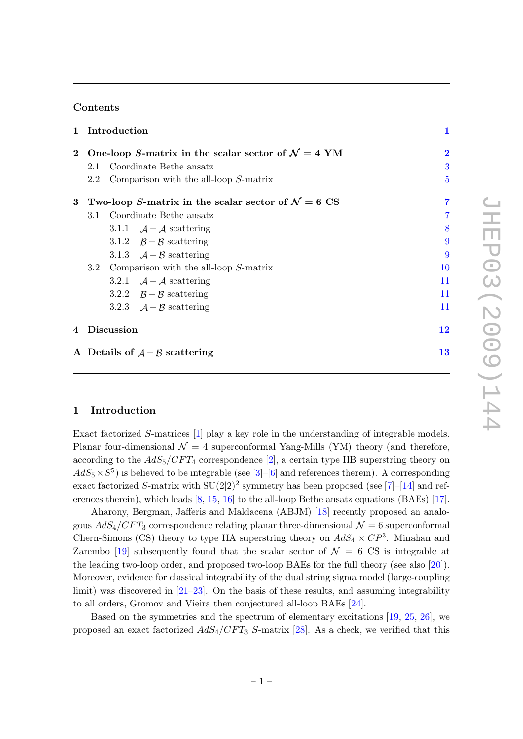## Contents

|          | 1 Introduction<br>One-loop S-matrix in the scalar sector of $\mathcal{N}=4$ YM |  |                                              | 1              |
|----------|--------------------------------------------------------------------------------|--|----------------------------------------------|----------------|
| $\bf{2}$ |                                                                                |  |                                              | $\bf{2}$       |
|          | 2.1                                                                            |  | Coordinate Bethe ansatz                      | 3              |
|          | 2.2                                                                            |  | Comparison with the all-loop $S$ -matrix     | $\overline{5}$ |
| 3        | Two-loop S-matrix in the scalar sector of $\mathcal{N}=6$ CS                   |  |                                              | 7              |
|          | 3.1                                                                            |  | Coordinate Bethe ansatz                      | $\overline{7}$ |
|          |                                                                                |  | 3.1.1 $\mathcal{A} - \mathcal{A}$ scattering | 8              |
|          |                                                                                |  | 3.1.2 $\beta - \beta$ scattering             | 9              |
|          |                                                                                |  | 3.1.3 $\mathcal{A} - \mathcal{B}$ scattering | 9              |
|          | Comparison with the all-loop $S$ -matrix<br>3.2                                |  |                                              | 10             |
|          |                                                                                |  | 3.2.1 $\mathcal{A} - \mathcal{A}$ scattering | 11             |
|          |                                                                                |  | 3.2.2 $\beta - \beta$ scattering             | 11             |
|          |                                                                                |  | 3.2.3 $\mathcal{A} - \mathcal{B}$ scattering | 11             |
|          | 4 Discussion                                                                   |  |                                              | 12             |
|          | A Details of $A - B$ scattering                                                |  |                                              | 13             |

## <span id="page-1-0"></span>1 Introduction

Exact factorized S-matrices [\[1\]](#page-15-0) play a key role in the understanding of integrable models. Planar four-dimensional  $\mathcal{N} = 4$  superconformal Yang-Mills (YM) theory (and therefore, according to the  $AdS_5/CFT_4$  correspondence [\[2\]](#page-15-1), a certain type IIB superstring theory on  $AdS_5 \times S^5$ ) is believed to be integrable (see [\[3\]](#page-15-2)–[\[6\]](#page-15-3) and references therein). A corresponding exact factorized S-matrix with  $SU(2|2)^2$  symmetry has been proposed (see [\[7\]](#page-16-0)–[\[14\]](#page-16-1) and references therein), which leads [\[8,](#page-16-2) [15,](#page-16-3) [16\]](#page-16-4) to the all-loop Bethe ansatz equations (BAEs) [\[17\]](#page-16-5).

Aharony, Bergman, Jafferis and Maldacena (ABJM) [\[18\]](#page-16-6) recently proposed an analogous  $AdS_4/CFT_3$  correspondence relating planar three-dimensional  $\mathcal{N}=6$  superconformal Chern-Simons (CS) theory to type IIA superstring theory on  $AdS_4 \times CP^3$ . Minahan and Zarembo [\[19\]](#page-16-7) subsequently found that the scalar sector of  $\mathcal{N} = 6 \text{ CS}$  is integrable at the leading two-loop order, and proposed two-loop BAEs for the full theory (see also [\[20\]](#page-16-8)). Moreover, evidence for classical integrability of the dual string sigma model (large-coupling limit) was discovered in [\[21](#page-16-9)[–23\]](#page-16-10). On the basis of these results, and assuming integrability to all orders, Gromov and Vieira then conjectured all-loop BAEs [\[24\]](#page-17-0).

Based on the symmetries and the spectrum of elementary excitations [\[19,](#page-16-7) [25,](#page-17-1) [26\]](#page-17-2), we proposed an exact factorized  $AdS_4/CFT_3$  S-matrix [\[28\]](#page-17-3). As a check, we verified that this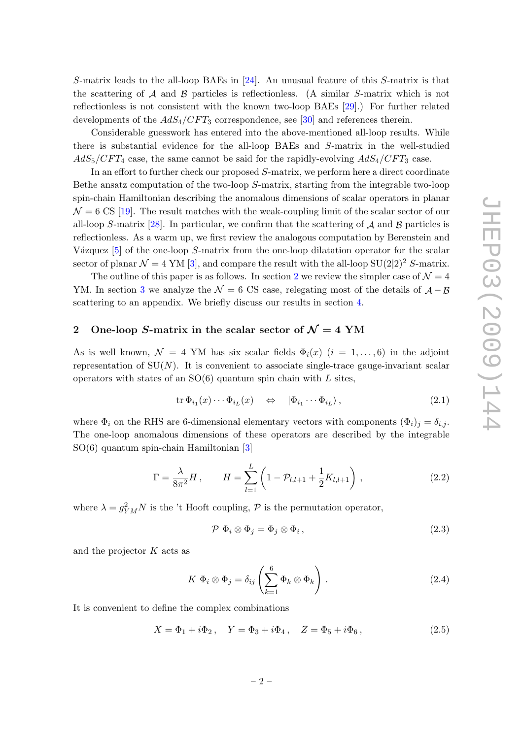S-matrix leads to the all-loop BAEs in [\[24\]](#page-17-0). An unusual feature of this S-matrix is that the scattering of  $A$  and  $B$  particles is reflectionless. (A similar S-matrix which is not reflectionless is not consistent with the known two-loop BAEs [\[29\]](#page-17-4).) For further related developments of the  $AdS_4/CFT_3$  correspondence, see [\[30\]](#page-17-5) and references therein.

Considerable guesswork has entered into the above-mentioned all-loop results. While there is substantial evidence for the all-loop BAEs and S-matrix in the well-studied  $AdS_5/CFT_4$  case, the same cannot be said for the rapidly-evolving  $AdS_4/CFT_3$  case.

In an effort to further check our proposed S-matrix, we perform here a direct coordinate Bethe ansatz computation of the two-loop S-matrix, starting from the integrable two-loop spin-chain Hamiltonian describing the anomalous dimensions of scalar operators in planar  $\mathcal{N} = 6$  CS [\[19\]](#page-16-7). The result matches with the weak-coupling limit of the scalar sector of our all-loop S-matrix [\[28\]](#page-17-3). In particular, we confirm that the scattering of  $\mathcal A$  and  $\mathcal B$  particles is reflectionless. As a warm up, we first review the analogous computation by Berenstein and Vázquez  $[5]$  of the one-loop S-matrix from the one-loop dilatation operator for the scalar sector of planar  $\mathcal{N} = 4$  YM [\[3\]](#page-15-2), and compare the result with the all-loop SU(2|2)<sup>2</sup> S-matrix.

The outline of this paper is as follows. In section [2](#page-2-0) we review the simpler case of  $\mathcal{N} = 4$ YM. In section [3](#page-7-0) we analyze the  $\mathcal{N} = 6$  CS case, relegating most of the details of  $\mathcal{A} - \mathcal{B}$ scattering to an appendix. We briefly discuss our results in section [4.](#page-12-0)

# <span id="page-2-0"></span>2 One-loop S-matrix in the scalar sector of  $\mathcal{N}=4$  YM

As is well known,  $\mathcal{N} = 4$  YM has six scalar fields  $\Phi_i(x)$   $(i = 1, \ldots, 6)$  in the adjoint representation of  $SU(N)$ . It is convenient to associate single-trace gauge-invariant scalar operators with states of an  $SO(6)$  quantum spin chain with L sites,

$$
\operatorname{tr} \Phi_{i_1}(x) \cdots \Phi_{i_L}(x) \quad \Leftrightarrow \quad |\Phi_{i_1} \cdots \Phi_{i_L}\rangle, \tag{2.1}
$$

where  $\Phi_i$  on the RHS are 6-dimensional elementary vectors with components  $(\Phi_i)_j = \delta_{i,j}$ . The one-loop anomalous dimensions of these operators are described by the integrable SO(6) quantum spin-chain Hamiltonian [\[3\]](#page-15-2)

$$
\Gamma = \frac{\lambda}{8\pi^2} H, \qquad H = \sum_{l=1}^{L} \left( 1 - \mathcal{P}_{l,l+1} + \frac{1}{2} K_{l,l+1} \right), \qquad (2.2)
$$

where  $\lambda = g_{YM}^2 N$  is the 't Hooft coupling,  $\mathcal{P}$  is the permutation operator,

$$
\mathcal{P} \ \Phi_i \otimes \Phi_j = \Phi_j \otimes \Phi_i \,, \tag{2.3}
$$

and the projector  $K$  acts as

$$
K \Phi_i \otimes \Phi_j = \delta_{ij} \left( \sum_{k=1}^6 \Phi_k \otimes \Phi_k \right) . \tag{2.4}
$$

It is convenient to define the complex combinations

$$
X = \Phi_1 + i\Phi_2, \quad Y = \Phi_3 + i\Phi_4, \quad Z = \Phi_5 + i\Phi_6, \tag{2.5}
$$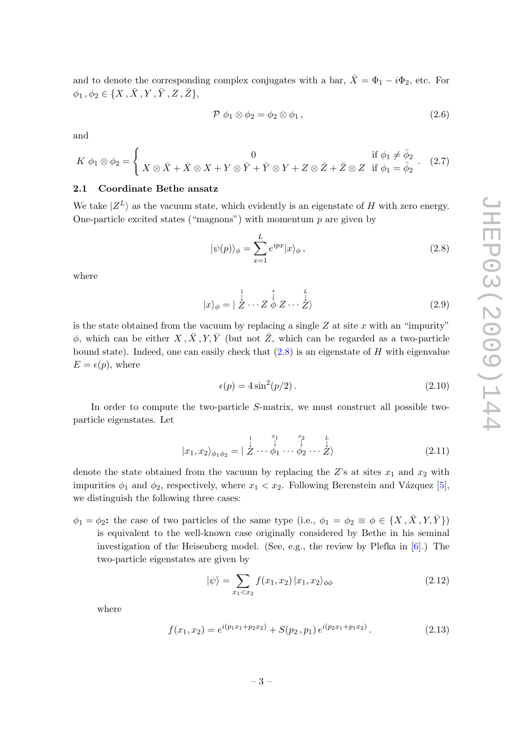and to denote the corresponding complex conjugates with a bar,  $\bar{X} = \Phi_1 - i\Phi_2$ , etc. For  $\phi_1, \phi_2 \in \{X, \bar{X}, Y, \bar{Y}, Z, \bar{Z}\},\$ 

$$
\mathcal{P} \phi_1 \otimes \phi_2 = \phi_2 \otimes \phi_1 , \qquad (2.6)
$$

and

$$
K \phi_1 \otimes \phi_2 = \begin{cases} 0 & \text{if } \phi_1 \neq \bar{\phi}_2 \\ X \otimes \bar{X} + \bar{X} \otimes X + Y \otimes \bar{Y} + \bar{Y} \otimes Y + Z \otimes \bar{Z} + \bar{Z} \otimes Z & \text{if } \phi_1 = \bar{\phi}_2 \end{cases} . (2.7)
$$

# <span id="page-3-0"></span>2.1 Coordinate Bethe ansatz

We take  $|Z^L\rangle$  as the vacuum state, which evidently is an eigenstate of H with zero energy. One-particle excited states ("magnons") with momentum  $p$  are given by

<span id="page-3-1"></span>
$$
|\psi(p)\rangle_{\phi} = \sum_{x=1}^{L} e^{ipx} |x\rangle_{\phi}, \qquad (2.8)
$$

where

$$
|x\rangle_{\phi} = |\stackrel{1}{\stackrel{1}{Z}}\cdots \stackrel{1}{Z}\stackrel{1}{\phi}Z\cdots \stackrel{1}{\stackrel{1}{Z}}\rangle
$$
(2.9)

is the state obtained from the vacuum by replacing a single  $Z$  at site  $x$  with an "impurity"  $\phi$ , which can be either  $X, \overline{X}, Y, \overline{Y}$  (but not  $\overline{Z}$ , which can be regarded as a two-particle bound state). Indeed, one can easily check that  $(2.8)$  is an eigenstate of H with eigenvalue  $E = \epsilon(p)$ , where

<span id="page-3-2"></span>
$$
\epsilon(p) = 4\sin^2(p/2). \tag{2.10}
$$

In order to compute the two-particle S-matrix, we must construct all possible twoparticle eigenstates. Let

$$
|x_1, x_2\rangle_{\phi_1\phi_2} = |\stackrel{1}{\stackrel{1}{\mathcal{Z}}}\cdots \stackrel{x_1}{\phi_1}\cdots \stackrel{x_2}{\phi_2}\cdots \stackrel{L}{\stackrel{1}{\mathcal{Z}}}\n \tag{2.11}
$$

denote the state obtained from the vacuum by replacing the  $Z$ 's at sites  $x_1$  and  $x_2$  with impurities  $\phi_1$  and  $\phi_2$ , respectively, where  $x_1 < x_2$ . Following Berenstein and Vázquez [\[5\]](#page-15-4), we distinguish the following three cases:

 $\phi_1 = \phi_2$ : the case of two particles of the same type (i.e.,  $\phi_1 = \phi_2 \equiv \phi \in \{X, \overline{X}, Y, \overline{Y}\}\$ ) is equivalent to the well-known case originally considered by Bethe in his seminal investigation of the Heisenberg model. (See, e.g., the review by Plefka in [\[6\]](#page-15-3).) The two-particle eigenstates are given by

$$
|\psi\rangle = \sum_{x_1 < x_2} f(x_1, x_2) \, |x_1, x_2\rangle_{\phi\phi} \tag{2.12}
$$

where

<span id="page-3-3"></span>
$$
f(x_1, x_2) = e^{i(p_1 x_1 + p_2 x_2)} + S(p_2, p_1) e^{i(p_2 x_1 + p_1 x_2)}.
$$
 (2.13)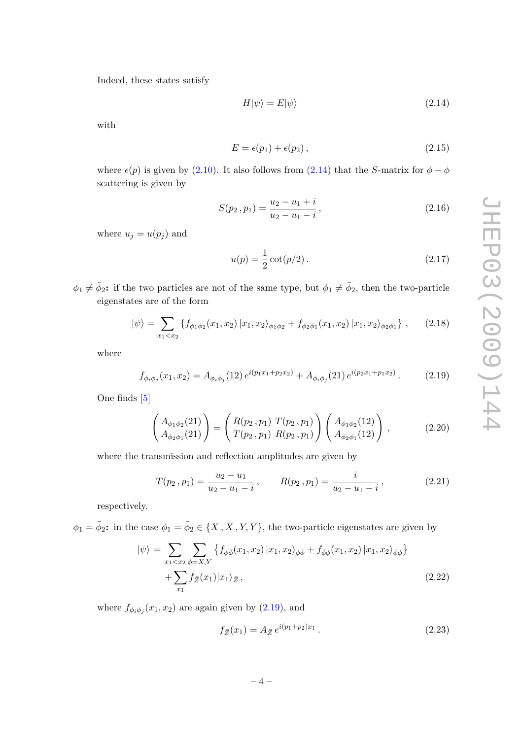Indeed, these states satisfy

<span id="page-4-0"></span>
$$
H|\psi\rangle = E|\psi\rangle \tag{2.14}
$$

with

<span id="page-4-4"></span>
$$
E = \epsilon(p_1) + \epsilon(p_2), \qquad (2.15)
$$

where  $\epsilon(p)$  is given by [\(2.10\)](#page-3-2). It also follows from [\(2.14\)](#page-4-0) that the S-matrix for  $\phi - \phi$ scattering is given by

<span id="page-4-2"></span>
$$
S(p_2, p_1) = \frac{u_2 - u_1 + i}{u_2 - u_1 - i},
$$
\n(2.16)

where  $u_j = u(p_j)$  and

$$
u(p) = \frac{1}{2}\cot(p/2).
$$
 (2.17)

 $\phi_1 \neq \bar{\phi}_2$ : if the two particles are not of the same type, but  $\phi_1 \neq \bar{\phi}_2$ , then the two-particle eigenstates are of the form

$$
|\psi\rangle = \sum_{x_1 < x_2} \left\{ f_{\phi_1 \phi_2}(x_1, x_2) \, | \, x_1, x_2 \rangle_{\phi_1 \phi_2} + f_{\phi_2 \phi_1}(x_1, x_2) \, | \, x_1, x_2 \rangle_{\phi_2 \phi_1} \right\} \,, \tag{2.18}
$$

where

<span id="page-4-1"></span>
$$
f_{\phi_i \phi_j}(x_1, x_2) = A_{\phi_i \phi_j}(12) e^{i(p_1 x_1 + p_2 x_2)} + A_{\phi_i \phi_j}(21) e^{i(p_2 x_1 + p_1 x_2)}.
$$
 (2.19)

One finds [\[5\]](#page-15-4)

$$
\begin{pmatrix} A_{\phi_1 \phi_2}(21) \\ A_{\phi_2 \phi_1}(21) \end{pmatrix} = \begin{pmatrix} R(p_2, p_1) & T(p_2, p_1) \\ T(p_2, p_1) & R(p_2, p_1) \end{pmatrix} \begin{pmatrix} A_{\phi_1 \phi_2}(12) \\ A_{\phi_2 \phi_1}(12) \end{pmatrix},
$$
(2.20)

where the transmission and reflection amplitudes are given by

<span id="page-4-3"></span>
$$
T(p_2, p_1) = \frac{u_2 - u_1}{u_2 - u_1 - i}, \qquad R(p_2, p_1) = \frac{i}{u_2 - u_1 - i}, \qquad (2.21)
$$

respectively.

 $\phi_1 = \bar{\phi}_2$ : in the case  $\phi_1 = \bar{\phi}_2 \in \{X, \bar{X}, Y, \bar{Y}\}\$ , the two-particle eigenstates are given by

$$
|\psi\rangle = \sum_{x_1 < x_2} \sum_{\phi = X, Y} \left\{ f_{\phi\bar{\phi}}(x_1, x_2) \, | x_1, x_2 \rangle_{\phi\bar{\phi}} + f_{\bar{\phi}\phi}(x_1, x_2) \, | x_1, x_2 \rangle_{\bar{\phi}\phi} \right\} + \sum_{x_1} f_{\bar{Z}}(x_1) | x_1 \rangle_{\bar{Z}},\tag{2.22}
$$

where  $f_{\phi_i \phi_j}(x_1, x_2)$  are again given by  $(2.19)$ , and

$$
f_{\bar{Z}}(x_1) = A_{\bar{Z}} e^{i(p_1 + p_2)x_1}.
$$
\n(2.23)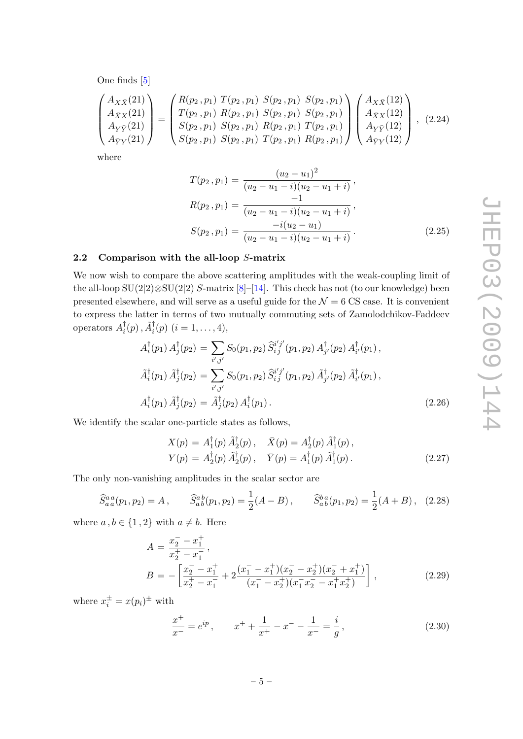One finds [\[5\]](#page-15-4)

$$
\begin{pmatrix}\nA_{X\bar{X}}(21) \\
A_{\bar{X}X}(21) \\
A_{\bar{Y}Y}(21) \\
A_{\bar{Y}Y}(21)\n\end{pmatrix} = \begin{pmatrix}\nR(p_2, p_1) T(p_2, p_1) S(p_2, p_1) S(p_2, p_1) S(p_2, p_1) \\
T(p_2, p_1) R(p_2, p_1) S(p_2, p_1) S(p_2, p_1) \\
S(p_2, p_1) R(p_2, p_1) T(p_2, p_1) \\
S(p_2, p_1) T(p_2, p_1) R(p_2, p_1)\n\end{pmatrix} \begin{pmatrix}\nA_{X\bar{X}}(12) \\
A_{\bar{X}X}(12) \\
A_{\bar{Y}Y}(12) \\
A_{\bar{Y}Y}(12)\n\end{pmatrix}, (2.24)
$$

where

<span id="page-5-3"></span>
$$
T(p_2, p_1) = \frac{(u_2 - u_1)^2}{(u_2 - u_1 - i)(u_2 - u_1 + i)},
$$
  
\n
$$
R(p_2, p_1) = \frac{-1}{(u_2 - u_1 - i)(u_2 - u_1 + i)},
$$
  
\n
$$
S(p_2, p_1) = \frac{-i(u_2 - u_1)}{(u_2 - u_1 - i)(u_2 - u_1 + i)}.
$$
\n(2.25)

#### <span id="page-5-0"></span>2.2 Comparison with the all-loop S-matrix

We now wish to compare the above scattering amplitudes with the weak-coupling limit of the all-loop  $SU(2|2)\otimes SU(2|2)$  S-matrix [\[8\]](#page-16-2)–[\[14\]](#page-16-1). This check has not (to our knowledge) been presented elsewhere, and will serve as a useful guide for the  $\mathcal{N} = 6 \text{ CS}$  case. It is convenient to express the latter in terms of two mutually commuting sets of Zamolodchikov-Faddeev operators  $A_i^{\dagger}$  $\tilde{A}_i^{\dagger}(p)$ ,  $\tilde{A}_i^{\dagger}(p)$   $(i = 1, \ldots, 4)$ ,

<span id="page-5-1"></span>
$$
A_i^{\dagger}(p_1) A_j^{\dagger}(p_2) = \sum_{i',j'} S_0(p_1, p_2) \, \widehat{S}_{i\,j}^{i'j'}(p_1, p_2) A_{j'}^{\dagger}(p_2) A_{i'}^{\dagger}(p_1),
$$
  
\n
$$
\tilde{A}_i^{\dagger}(p_1) \, \tilde{A}_j^{\dagger}(p_2) = \sum_{i',j'} S_0(p_1, p_2) \, \widehat{S}_{i\,j}^{i'j'}(p_1, p_2) \, \tilde{A}_{j'}^{\dagger}(p_2) \, \tilde{A}_{i'}^{\dagger}(p_1),
$$
  
\n
$$
A_i^{\dagger}(p_1) \, \tilde{A}_j^{\dagger}(p_2) = \tilde{A}_j^{\dagger}(p_2) \, A_i^{\dagger}(p_1).
$$
\n(2.26)

We identify the scalar one-particle states as follows,

$$
X(p) = A_1^{\dagger}(p) \tilde{A}_2^{\dagger}(p), \quad \bar{X}(p) = A_2^{\dagger}(p) \tilde{A}_1^{\dagger}(p), Y(p) = A_2^{\dagger}(p) \tilde{A}_2^{\dagger}(p), \quad \bar{Y}(p) = A_1^{\dagger}(p) \tilde{A}_1^{\dagger}(p).
$$
 (2.27)

The only non-vanishing amplitudes in the scalar sector are

 $+$ 

<span id="page-5-2"></span>
$$
\widehat{S}_{a\,a}^{aa}(p_1, p_2) = A \,, \qquad \widehat{S}_{a\,b}^{ab}(p_1, p_2) = \frac{1}{2}(A - B) \,, \qquad \widehat{S}_{a\,b}^{ba}(p_1, p_2) = \frac{1}{2}(A + B) \,, \tag{2.28}
$$

where  $a, b \in \{1, 2\}$  with  $a \neq b$ . Here

<span id="page-5-4"></span>
$$
A = \frac{x_2^- - x_1^+}{x_2^+ - x_1^-},
$$
  
\n
$$
B = -\left[\frac{x_2^- - x_1^+}{x_2^+ - x_1^-} + 2\frac{(x_1^- - x_1^+)(x_2^- - x_2^+)(x_2^- + x_1^+)}{(x_1^- - x_2^+)(x_1^- x_2^- - x_1^+ x_2^+)}\right],
$$
\n(2.29)

where  $x_i^{\pm} = x(p_i)^{\pm}$  with

<span id="page-5-5"></span>
$$
\frac{x^{+}}{x^{-}} = e^{ip}, \qquad x^{+} + \frac{1}{x^{+}} - x^{-} - \frac{1}{x^{-}} = \frac{i}{g}, \qquad (2.30)
$$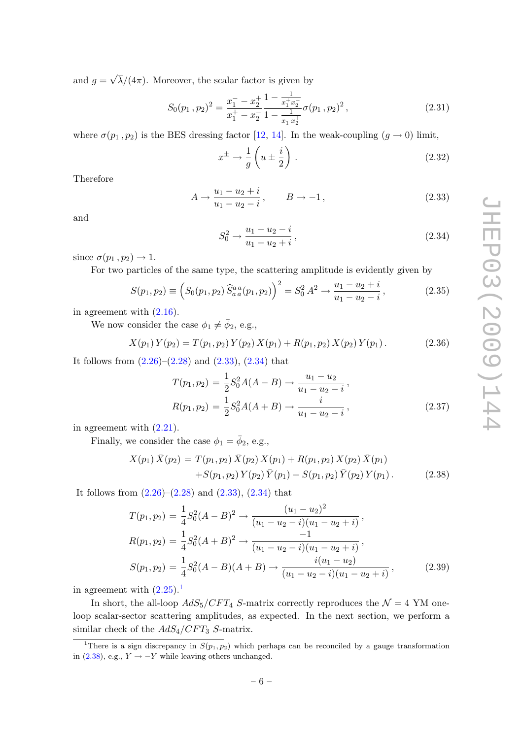and  $g =$ √  $\lambda/(4\pi)$ . Moreover, the scalar factor is given by

<span id="page-6-4"></span>
$$
S_0(p_1, p_2)^2 = \frac{x_1^- - x_2^+}{x_1^+ - x_2^-} \frac{1 - \frac{1}{x_1^+ x_2^-}}{1 - \frac{1}{x_1^- x_2^+}} \sigma(p_1, p_2)^2, \qquad (2.31)
$$

where  $\sigma(p_1, p_2)$  is the BES dressing factor [\[12,](#page-16-11) [14\]](#page-16-1). In the weak-coupling  $(g \to 0)$  limit,

$$
x^{\pm} \to \frac{1}{g} \left( u \pm \frac{i}{2} \right). \tag{2.32}
$$

Therefore

<span id="page-6-0"></span>
$$
A \to \frac{u_1 - u_2 + i}{u_1 - u_2 - i}, \qquad B \to -1,
$$
\n(2.33)

and

<span id="page-6-1"></span>
$$
S_0^2 \to \frac{u_1 - u_2 - i}{u_1 - u_2 + i},\tag{2.34}
$$

since  $\sigma(p_1, p_2) \rightarrow 1$ .

For two particles of the same type, the scattering amplitude is evidently given by

<span id="page-6-5"></span>
$$
S(p_1, p_2) \equiv \left( S_0(p_1, p_2) \, \widehat{S}_{aa}^{aa}(p_1, p_2) \right)^2 = S_0^2 \, A^2 \to \frac{u_1 - u_2 + i}{u_1 - u_2 - i} \,, \tag{2.35}
$$

in agreement with [\(2.16\)](#page-4-2).

We now consider the case  $\phi_1 \neq \bar{\phi}_2$ , e.g.,

$$
X(p_1) Y(p_2) = T(p_1, p_2) Y(p_2) X(p_1) + R(p_1, p_2) X(p_2) Y(p_1).
$$
 (2.36)

It follows from  $(2.26)$ – $(2.28)$  and  $(2.33)$ ,  $(2.34)$  that

<span id="page-6-6"></span>
$$
T(p_1, p_2) = \frac{1}{2} S_0^2 A(A - B) \to \frac{u_1 - u_2}{u_1 - u_2 - i},
$$
  
\n
$$
R(p_1, p_2) = \frac{1}{2} S_0^2 A(A + B) \to \frac{i}{u_1 - u_2 - i},
$$
\n(2.37)

in agreement with [\(2.21\)](#page-4-3).

Finally, we consider the case  $\phi_1 = \bar{\phi}_2$ , e.g.,

<span id="page-6-3"></span>
$$
X(p_1) \bar{X}(p_2) = T(p_1, p_2) \bar{X}(p_2) X(p_1) + R(p_1, p_2) X(p_2) \bar{X}(p_1)
$$
  
+
$$
S(p_1, p_2) Y(p_2) \bar{Y}(p_1) + S(p_1, p_2) \bar{Y}(p_2) Y(p_1).
$$
 (2.38)

It follows from  $(2.26)$ – $(2.28)$  and  $(2.33)$ ,  $(2.34)$  that

$$
T(p_1, p_2) = \frac{1}{4} S_0^2 (A - B)^2 \to \frac{(u_1 - u_2)^2}{(u_1 - u_2 - i)(u_1 - u_2 + i)},
$$
  
\n
$$
R(p_1, p_2) = \frac{1}{4} S_0^2 (A + B)^2 \to \frac{-1}{(u_1 - u_2 - i)(u_1 - u_2 + i)},
$$
  
\n
$$
S(p_1, p_2) = \frac{1}{4} S_0^2 (A - B)(A + B) \to \frac{i(u_1 - u_2)}{(u_1 - u_2 - i)(u_1 - u_2 + i)},
$$
\n(2.39)

in agreement with  $(2.25)^{1}$  $(2.25)^{1}$  $(2.25)^{1}$ 

In short, the all-loop  $AdS_5/CFT_4$  S-matrix correctly reproduces the  $\mathcal{N}=4$  YM oneloop scalar-sector scattering amplitudes, as expected. In the next section, we perform a similar check of the  $AdS_4/CFT_3$  S-matrix.

<span id="page-6-2"></span><sup>&</sup>lt;sup>1</sup>There is a sign discrepancy in  $S(p_1, p_2)$  which perhaps can be reconciled by a gauge transformation in [\(2.38\)](#page-6-3), e.g.,  $Y \rightarrow -Y$  while leaving others unchanged.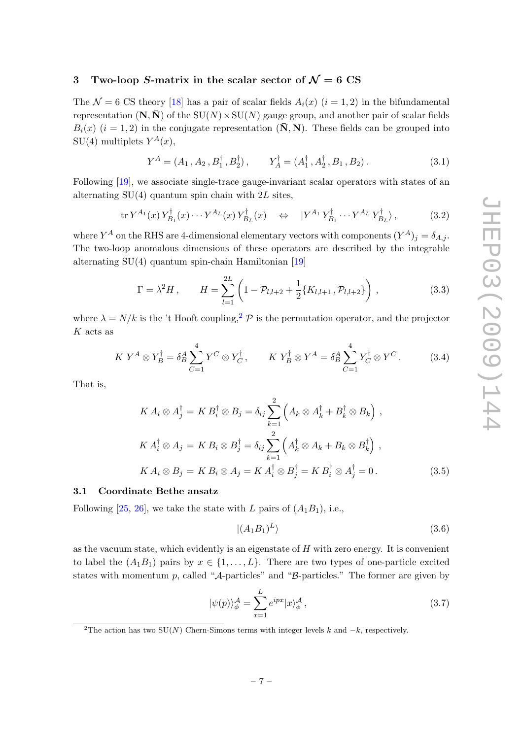# <span id="page-7-0"></span>3 Two-loop S-matrix in the scalar sector of  $\mathcal{N}=6$  CS

The  $\mathcal{N} = 6$  CS theory [\[18\]](#page-16-6) has a pair of scalar fields  $A_i(x)$  ( $i = 1, 2$ ) in the bifundamental representation  $(N, \overline{N})$  of the  $SU(N) \times SU(N)$  gauge group, and another pair of scalar fields  $B_i(x)$   $(i = 1, 2)$  in the conjugate representation  $(\mathbf{\bar{N}}, \mathbf{N})$ . These fields can be grouped into  $SU(4)$  multiplets  $Y^A(x)$ ,

$$
Y^{A} = (A_{1}, A_{2}, B_{1}^{\dagger}, B_{2}^{\dagger}), \qquad Y_{A}^{\dagger} = (A_{1}^{\dagger}, A_{2}^{\dagger}, B_{1}, B_{2}). \qquad (3.1)
$$

Following [\[19\]](#page-16-7), we associate single-trace gauge-invariant scalar operators with states of an alternating  $SU(4)$  quantum spin chain with  $2L$  sites,

$$
\operatorname{tr} Y^{A_1}(x) Y^{\dagger}_{B_1}(x) \cdots Y^{A_L}(x) Y^{\dagger}_{B_L}(x) \quad \Leftrightarrow \quad |Y^{A_1} Y^{\dagger}_{B_1} \cdots Y^{A_L} Y^{\dagger}_{B_L}\rangle, \tag{3.2}
$$

where  $Y^A$  on the RHS are 4-dimensional elementary vectors with components  $(Y^A)_j = \delta_{A,j}$ . The two-loop anomalous dimensions of these operators are described by the integrable alternating  $SU(4)$  quantum spin-chain Hamiltonian [\[19\]](#page-16-7)

<span id="page-7-4"></span>
$$
\Gamma = \lambda^2 H, \qquad H = \sum_{l=1}^{2L} \left( 1 - \mathcal{P}_{l,l+2} + \frac{1}{2} \{ K_{l,l+1}, \mathcal{P}_{l,l+2} \} \right), \tag{3.3}
$$

where  $\lambda = N/k$  is the 't Hooft coupling,<sup>[2](#page-7-2)</sup>  $\mathcal P$  is the permutation operator, and the projector  $K$  acts as

$$
K Y^A \otimes Y_B^{\dagger} = \delta_B^A \sum_{C=1}^4 Y^C \otimes Y_C^{\dagger}, \qquad K Y_B^{\dagger} \otimes Y^A = \delta_B^A \sum_{C=1}^4 Y_C^{\dagger} \otimes Y^C. \tag{3.4}
$$

That is,

$$
KA_i \otimes A_j^{\dagger} = KB_i^{\dagger} \otimes B_j = \delta_{ij} \sum_{k=1}^{2} \left( A_k \otimes A_k^{\dagger} + B_k^{\dagger} \otimes B_k \right),
$$
  
\n
$$
KA_i^{\dagger} \otimes A_j = KB_i \otimes B_j^{\dagger} = \delta_{ij} \sum_{k=1}^{2} \left( A_k^{\dagger} \otimes A_k + B_k \otimes B_k^{\dagger} \right),
$$
  
\n
$$
KA_i \otimes B_j = KB_i \otimes A_j = KA_i^{\dagger} \otimes B_j^{\dagger} = KB_i^{\dagger} \otimes A_j^{\dagger} = 0.
$$
\n(3.5)

#### <span id="page-7-1"></span>3.1 Coordinate Bethe ansatz

Following [\[25,](#page-17-1) [26\]](#page-17-2), we take the state with L pairs of  $(A_1B_1)$ , i.e.,

$$
|(A_1B_1)^L\rangle \t\t(3.6)
$$

as the vacuum state, which evidently is an eigenstate of  $H$  with zero energy. It is convenient to label the  $(A_1B_1)$  pairs by  $x \in \{1, \ldots, L\}$ . There are two types of one-particle excited states with momentum p, called " $A$ -particles" and " $B$ -particles." The former are given by

<span id="page-7-3"></span>
$$
|\psi(p)\rangle_{\phi}^{\mathcal{A}} = \sum_{x=1}^{L} e^{ipx} |x\rangle_{\phi}^{\mathcal{A}}, \tag{3.7}
$$

<span id="page-7-2"></span><sup>&</sup>lt;sup>2</sup>The action has two SU(N) Chern-Simons terms with integer levels k and  $-k$ , respectively.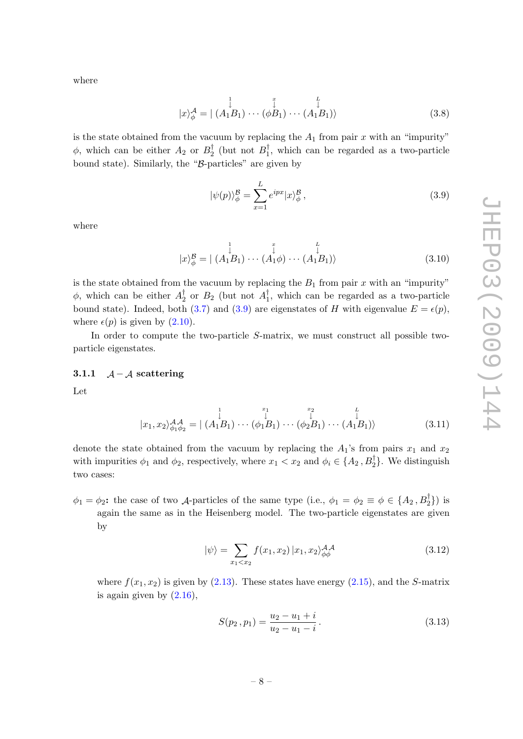where

$$
|x\rangle_{\phi}^{\mathcal{A}} = | \stackrel{\downarrow}{(A_1 B_1)} \cdots \stackrel{\downarrow}{( \phi B_1)} \cdots \stackrel{\downarrow}{(A_1 B_1)} \rangle \tag{3.8}
$$

is the state obtained from the vacuum by replacing the  $A_1$  from pair x with an "impurity"  $\phi$ , which can be either  $A_2$  or  $B_2^{\dagger}$  $B_2^{\dagger}$  (but not  $B_1^{\dagger}$  $\frac{1}{1}$ , which can be regarded as a two-particle bound state). Similarly, the "B-particles" are given by

<span id="page-8-1"></span>
$$
|\psi(p)\rangle_{\phi}^{\mathcal{B}} = \sum_{x=1}^{L} e^{ipx} |x\rangle_{\phi}^{\mathcal{B}}, \tag{3.9}
$$

where

$$
|x\rangle_{\phi}^{\mathcal{B}} = | \stackrel{1}{(A_1 B_1)} \cdots \stackrel{1}{(A_1 \phi)} \cdots \stackrel{1}{(A_1 B_1)} \rangle
$$
(3.10)

is the state obtained from the vacuum by replacing the  $B_1$  from pair x with an "impurity"  $\phi$ , which can be either  $A_2^{\dagger}$  $\frac{1}{2}$  or  $B_2$  (but not  $A_1^{\dagger}$  $\frac{1}{1}$ , which can be regarded as a two-particle bound state). Indeed, both [\(3.7\)](#page-7-3) and [\(3.9\)](#page-8-1) are eigenstates of H with eigenvalue  $E = \epsilon(p)$ , where  $\epsilon(p)$  is given by  $(2.10)$ .

In order to compute the two-particle S-matrix, we must construct all possible twoparticle eigenstates.

#### <span id="page-8-0"></span>3.1.1  $A - A$  scattering

Let

$$
|x_1, x_2\rangle_{\phi_1\phi_2}^{A\mathcal{A}} = | (A_1B_1) \cdots (\phi_1B_1) \cdots (\phi_2B_1) \cdots (A_1B_1) \rangle \qquad (3.11)
$$

denote the state obtained from the vacuum by replacing the  $A_1$ 's from pairs  $x_1$  and  $x_2$ with impurities  $\phi_1$  and  $\phi_2$ , respectively, where  $x_1 < x_2$  and  $\phi_i \in \{A_2, B_2^{\dagger}\}\.$  We distinguish two cases:

 $\phi_1 = \phi_2$ : the case of two *A*-particles of the same type (i.e.,  $\phi_1 = \phi_2 \equiv \phi \in \{A_2, B_2^{\dagger}\}\$ ) is again the same as in the Heisenberg model. The two-particle eigenstates are given by

<span id="page-8-2"></span>
$$
|\psi\rangle = \sum_{x_1 < x_2} f(x_1, x_2) |x_1, x_2\rangle_{\phi\phi}^{\mathcal{AA}} \tag{3.12}
$$

where  $f(x_1, x_2)$  is given by [\(2.13\)](#page-3-3). These states have energy [\(2.15\)](#page-4-4), and the S-matrix is again given by  $(2.16)$ .

<span id="page-8-3"></span>
$$
S(p_2, p_1) = \frac{u_2 - u_1 + i}{u_2 - u_1 - i}.
$$
\n(3.13)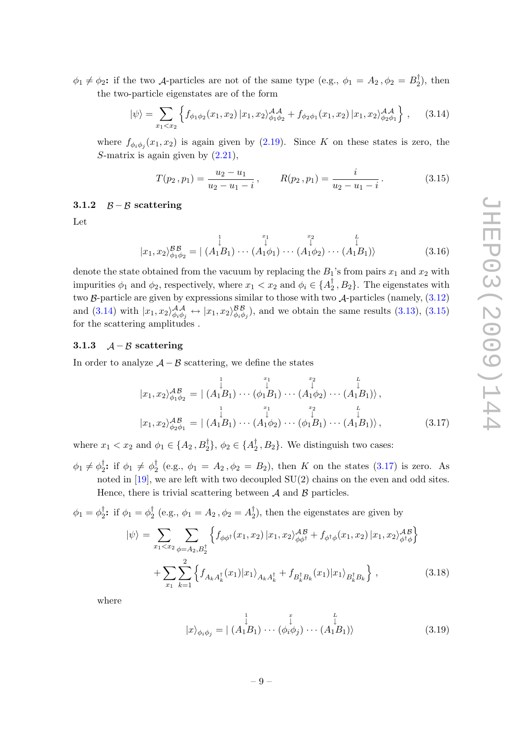$\phi_1 \neq \phi_2$ : if the two *A*-particles are not of the same type (e.g.,  $\phi_1 = A_2$ ,  $\phi_2 = B_2^{\dagger}$  $t_2^{\dagger}$ , then the two-particle eigenstates are of the form

<span id="page-9-2"></span>
$$
|\psi\rangle = \sum_{x_1 < x_2} \left\{ f_{\phi_1 \phi_2}(x_1, x_2) \, | \, x_1, x_2\rangle^{\mathcal{AA}}_{\phi_1 \phi_2} + f_{\phi_2 \phi_1}(x_1, x_2) \, | \, x_1, x_2\rangle^{\mathcal{AA}}_{\phi_2 \phi_1} \right\} \,, \tag{3.14}
$$

where  $f_{\phi_i \phi_j}(x_1, x_2)$  is again given by  $(2.19)$ . Since K on these states is zero, the S-matrix is again given by  $(2.21)$ ,

<span id="page-9-3"></span>
$$
T(p_2, p_1) = \frac{u_2 - u_1}{u_2 - u_1 - i}, \qquad R(p_2, p_1) = \frac{i}{u_2 - u_1 - i}.
$$
 (3.15)

#### <span id="page-9-0"></span>3.1.2  $\beta - \beta$  scattering

Let

$$
|x_1, x_2\rangle_{\phi_1\phi_2}^{\mathcal{B}\mathcal{B}} = | (A_1 B_1) \cdots (A_1 \phi_1) \cdots (A_1 \phi_2) \cdots (A_1 B_1) \rangle
$$
\n(3.16)

denote the state obtained from the vacuum by replacing the  $B_1$ 's from pairs  $x_1$  and  $x_2$  with impurities  $\phi_1$  and  $\phi_2$ , respectively, where  $x_1 < x_2$  and  $\phi_i \in \{A_2^{\dagger}\}$  $\{1}{2}, B_2\}$ . The eigenstates with two  $\beta$ -particle are given by expressions similar to those with two  $\mathcal{A}$ -particles (namely,  $(3.12)$ ) and  $(3.14)$  with  $|x_1, x_2\rangle_{\phi_i\phi_j}^{\mathcal{AA}} \leftrightarrow |x_1, x_2\rangle_{\phi_i\phi_j}^{\mathcal{BB}}$ , and we obtain the same results  $(3.13)$ ,  $(3.15)$ for the scattering amplitudes .

# <span id="page-9-1"></span>3.1.3  $A - B$  scattering

In order to analyze  $\mathcal{A} - \mathcal{B}$  scattering, we define the states

<span id="page-9-4"></span>
$$
|x_1, x_2\rangle_{\phi_1\phi_2}^{AB} = | (A_1 B_1) \cdots (A_1 B_1) \cdots (A_1 \phi_2) \cdots (A_1 B_1) \rangle ,
$$
  
\n
$$
|x_1, x_2\rangle_{\phi_2\phi_1}^{AB} = | (A_1 B_1) \cdots (A_1 \phi_2) \cdots (A_1 B_1) \cdots (A_1 B_1) \rangle ,
$$
  
\n
$$
|x_1, x_2\rangle_{\phi_2\phi_1}^{AB} = | (A_1 B_1) \cdots (A_1 \phi_2) \cdots (A_1 B_1) \cdots (A_1 B_1) \rangle ,
$$
 (3.17)

where  $x_1 < x_2$  and  $\phi_1 \in \{A_2, B_2^{\dagger}\}, \phi_2 \in \{A_2^{\dagger}\}$  $\{1, 2, 3\}$ . We distinguish two cases:

 $\phi_1 \neq \phi_2^\dagger$ <sup>†</sup><sub>2</sub>: if  $\phi_1 \neq \phi_2^{\dagger}$  $\frac{1}{2}$  (e.g.,  $\phi_1 = A_2$ ,  $\phi_2 = B_2$ ), then K on the states [\(3.17\)](#page-9-4) is zero. As noted in [\[19\]](#page-16-7), we are left with two decoupled SU(2) chains on the even and odd sites. Hence, there is trivial scattering between  $A$  and  $B$  particles.

 $\phi_1=\phi_2^\dagger$ <sup>†</sup><sub>2</sub>: if  $\phi_1 = \phi_2^{\dagger}$  $\frac{1}{2}$  (e.g.,  $\phi_1 = A_2$ ,  $\phi_2 = A_2^{\dagger}$  $_{2}^{\dagger}$ ), then the eigenstates are given by

<span id="page-9-5"></span>
$$
|\psi\rangle = \sum_{x_1 < x_2} \sum_{\phi = A_2, B_2^{\dagger}} \left\{ f_{\phi\phi^{\dagger}}(x_1, x_2) \, | x_1, x_2 \rangle_{\phi\phi^{\dagger}}^{AB} + f_{\phi^{\dagger}\phi}(x_1, x_2) \, | x_1, x_2 \rangle_{\phi^{\dagger}\phi}^{AB} \right\} \\
+ \sum_{x_1} \sum_{k=1}^2 \left\{ f_{A_k A_k^{\dagger}}(x_1) | x_1 \rangle_{A_k A_k^{\dagger}} + f_{B_k^{\dagger} B_k}(x_1) | x_1 \rangle_{B_k^{\dagger} B_k} \right\} \,, \tag{3.18}
$$

where

$$
|x\rangle_{\phi_i\phi_j} = | \stackrel{\downarrow}{(A_1B_1)} \cdots \stackrel{\downarrow}{(\phi_i\phi_j)} \cdots \stackrel{\downarrow}{(A_1B_1)} \rangle
$$
(3.19)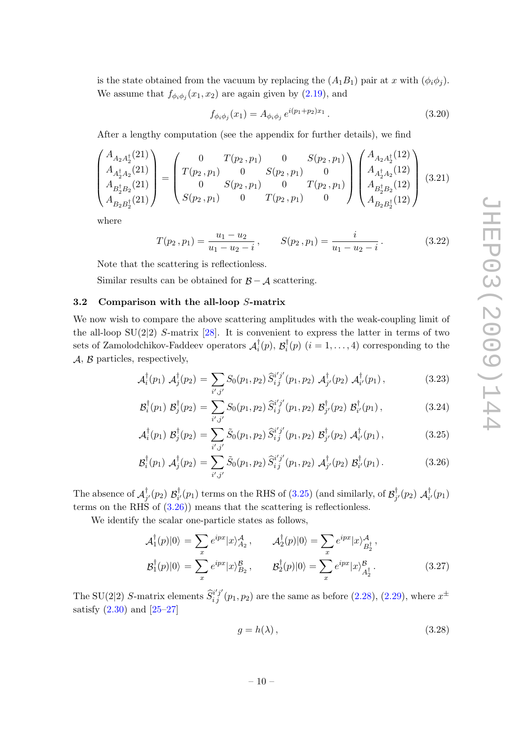is the state obtained from the vacuum by replacing the  $(A_1B_1)$  pair at x with  $(\phi_i\phi_j)$ . We assume that  $f_{\phi_i \phi_j}(x_1, x_2)$  are again given by [\(2.19\)](#page-4-1), and

$$
f_{\phi_i \phi_j}(x_1) = A_{\phi_i \phi_j} e^{i(p_1 + p_2)x_1}.
$$
\n(3.20)

After a lengthy computation (see the appendix for further details), we find

<span id="page-10-4"></span>
$$
\begin{pmatrix}\nA_{A_2A_2^{\dagger}}(21) \\
A_{A_2^{\dagger}A_2^{\dagger}}(21) \\
A_{B_2^{\dagger}B_2^{\dagger}}(21)\n\end{pmatrix} = \begin{pmatrix}\n0 & T(p_2, p_1) & 0 & S(p_2, p_1) \\
T(p_2, p_1) & 0 & S(p_2, p_1) & 0 \\
0 & S(p_2, p_1) & 0 & T(p_2, p_1) \\
S(p_2, p_1) & 0 & T(p_2, p_1) & 0\n\end{pmatrix} \begin{pmatrix}\nA_{A_2A_2^{\dagger}}(12) \\
A_{A_2^{\dagger}A_2^{\dagger}}(12) \\
A_{B_2^{\dagger}B_2^{\dagger}}(12)\n\end{pmatrix}
$$
\n(3.21)

where

<span id="page-10-2"></span>
$$
T(p_2, p_1) = \frac{u_1 - u_2}{u_1 - u_2 - i}, \qquad S(p_2, p_1) = \frac{i}{u_1 - u_2 - i}.
$$
 (3.22)

Note that the scattering is reflectionless.

Similar results can be obtained for  $\beta - \mathcal{A}$  scattering.

# <span id="page-10-0"></span>3.2 Comparison with the all-loop S-matrix

We now wish to compare the above scattering amplitudes with the weak-coupling limit of the all-loop  $SU(2|2)$  S-matrix [\[28\]](#page-17-3). It is convenient to express the latter in terms of two sets of Zamolodchikov-Faddeev operators  $\mathcal{A}_i^{\dagger}$  $i^{\dagger}(p),\, {\cal B}^{\dagger}_i$  $i_i^{\dagger}(p)$   $(i = 1, ..., 4)$  corresponding to the  $A, B$  particles, respectively,

<span id="page-10-1"></span>
$$
\mathcal{A}_{i}^{\dagger}(p_{1}) \mathcal{A}_{j}^{\dagger}(p_{2}) = \sum_{i',j'} S_{0}(p_{1},p_{2}) \, \widehat{S}_{i\,j}^{i'j'}(p_{1},p_{2}) \, \mathcal{A}_{j'}^{\dagger}(p_{2}) \, \mathcal{A}_{i'}^{\dagger}(p_{1}) \,, \tag{3.23}
$$

$$
\mathcal{B}_{i}^{\dagger}(p_{1}) \; \mathcal{B}_{j}^{\dagger}(p_{2}) = \sum_{i',j'} S_{0}(p_{1},p_{2}) \; \widehat{S}_{i\,j}^{i'j'}(p_{1},p_{2}) \; \mathcal{B}_{j'}^{\dagger}(p_{2}) \; \mathcal{B}_{i'}^{\dagger}(p_{1}) \,, \tag{3.24}
$$

$$
\mathcal{A}_{i}^{\dagger}(p_{1}) \; \mathcal{B}_{j}^{\dagger}(p_{2}) = \sum_{i',j'} \tilde{S}_{0}(p_{1},p_{2}) \; \widehat{S}_{i\,j}^{i'j'}(p_{1},p_{2}) \; \mathcal{B}_{j'}^{\dagger}(p_{2}) \; \mathcal{A}_{i'}^{\dagger}(p_{1}), \tag{3.25}
$$

$$
\mathcal{B}_{i}^{\dagger}(p_{1}) \mathcal{A}_{j}^{\dagger}(p_{2}) = \sum_{i',j'} \tilde{S}_{0}(p_{1},p_{2}) \, \widehat{S}_{i\,j}^{i'j'}(p_{1},p_{2}) \, \mathcal{A}_{j'}^{\dagger}(p_{2}) \, \mathcal{B}_{i'}^{\dagger}(p_{1}). \tag{3.26}
$$

The absence of  $\mathcal{A}_i^{\dagger}$  $_{j^{\prime }}^{\dagger }(p_{2})$   $\mathcal{B}_{i^{\prime }}^{\dagger }$  $\mathcal{L}^\dagger_{i'}(p_1)$  terms on the RHS of [\(3.25\)](#page-10-1) (and similarly, of  $\mathcal{B}_j^\dagger$  $g_{j'}^\dagger(p_2)$   $\bm{\mathcal{A}}_i^\dagger$  $_{i'}^{\perp}(p_1)$ terms on the RHS of  $(3.26)$  means that the scattering is reflectionless.

We identify the scalar one-particle states as follows,

$$
\mathcal{A}_1^{\dagger}(p)|0\rangle = \sum_x e^{ipx} |x\rangle_{A_2}^{\mathcal{A}}, \qquad \mathcal{A}_2^{\dagger}(p)|0\rangle = \sum_x e^{ipx} |x\rangle_{B_2^{\dagger}}^{\mathcal{A}},
$$

$$
\mathcal{B}_1^{\dagger}(p)|0\rangle = \sum_x e^{ipx} |x\rangle_{B_2}^{\mathcal{B}}, \qquad \mathcal{B}_2^{\dagger}(p)|0\rangle = \sum_x e^{ipx} |x\rangle_{A_2^{\dagger}}^{\mathcal{B}}.
$$
(3.27)

The SU(2|2) S-matrix elements  $\hat{S}_{ij}^{i'j'}(p_1, p_2)$  are the same as before [\(2.28\)](#page-5-2), [\(2.29\)](#page-5-4), where  $x^{\pm}$ satisfy  $(2.30)$  and  $[25-27]$  $[25-27]$ 

<span id="page-10-3"></span>
$$
g = h(\lambda), \tag{3.28}
$$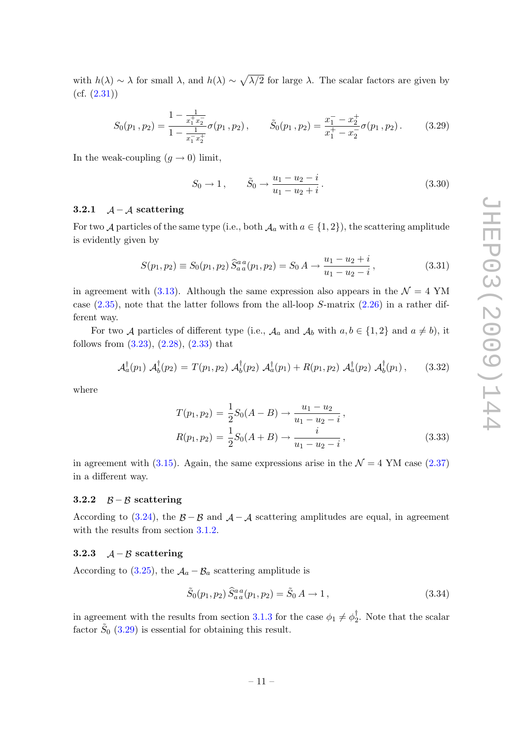with  $h(\lambda) \sim \lambda$  for small  $\lambda$ , and  $h(\lambda) \sim \sqrt{\lambda/2}$  for large  $\lambda$ . The scalar factors are given by  $(cf. (2.31))$  $(cf. (2.31))$  $(cf. (2.31))$ 

<span id="page-11-3"></span>
$$
S_0(p_1, p_2) = \frac{1 - \frac{1}{x_1^+ x_2^-}}{1 - \frac{1}{x_1^- x_2^+}} \sigma(p_1, p_2), \qquad \tilde{S}_0(p_1, p_2) = \frac{x_1^- - x_2^+}{x_1^+ - x_2^-} \sigma(p_1, p_2).
$$
 (3.29)

In the weak-coupling  $(g \to 0)$  limit,

$$
S_0 \to 1, \qquad \tilde{S}_0 \to \frac{u_1 - u_2 - i}{u_1 - u_2 + i}.
$$
\n(3.30)

#### <span id="page-11-0"></span>3.2.1  $A - A$  scattering

For two A particles of the same type (i.e., both  $\mathcal{A}_a$  with  $a \in \{1,2\}$ ), the scattering amplitude is evidently given by

$$
S(p_1, p_2) \equiv S_0(p_1, p_2) \hat{S}_{a\,a}^{a\,a}(p_1, p_2) = S_0 A \rightarrow \frac{u_1 - u_2 + i}{u_1 - u_2 - i}, \tag{3.31}
$$

in agreement with [\(3.13\)](#page-8-3). Although the same expression also appears in the  $\mathcal{N} = 4$  YM case  $(2.35)$ , note that the latter follows from the all-loop S-matrix  $(2.26)$  in a rather different way.

For two A particles of different type (i.e.,  $\mathcal{A}_a$  and  $\mathcal{A}_b$  with  $a, b \in \{1, 2\}$  and  $a \neq b$ ), it follows from [\(3.23\)](#page-10-1), [\(2.28\)](#page-5-2), [\(2.33\)](#page-6-0) that

$$
\mathcal{A}_a^{\dagger}(p_1) \mathcal{A}_b^{\dagger}(p_2) = T(p_1, p_2) \mathcal{A}_b^{\dagger}(p_2) \mathcal{A}_a^{\dagger}(p_1) + R(p_1, p_2) \mathcal{A}_a^{\dagger}(p_2) \mathcal{A}_b^{\dagger}(p_1), \quad (3.32)
$$

where

$$
T(p_1, p_2) = \frac{1}{2} S_0 (A - B) \to \frac{u_1 - u_2}{u_1 - u_2 - i},
$$
  
\n
$$
R(p_1, p_2) = \frac{1}{2} S_0 (A + B) \to \frac{i}{u_1 - u_2 - i},
$$
\n(3.33)

in agreement with [\(3.15\)](#page-9-3). Again, the same expressions arise in the  $\mathcal{N} = 4$  YM case [\(2.37\)](#page-6-6) in a different way.

#### <span id="page-11-1"></span>3.2.2  $\beta - \beta$  scattering

According to [\(3.24\)](#page-10-1), the  $\beta - \beta$  and  $\lambda - \lambda$  scattering amplitudes are equal, in agreement with the results from section [3.1.2.](#page-9-0)

# <span id="page-11-2"></span>3.2.3  $A - B$  scattering

According to [\(3.25\)](#page-10-1), the  $A_a - B_a$  scattering amplitude is

$$
\tilde{S}_0(p_1, p_2) \hat{S}_{aa}^{aa}(p_1, p_2) = \tilde{S}_0 A \to 1, \qquad (3.34)
$$

in agreement with the results from section [3.1.3](#page-9-1) for the case  $\phi_1 \neq \phi_2^{\dagger}$  $\sqrt{2}$ . Note that the scalar factor  $\tilde{S}_0$  [\(3.29\)](#page-11-3) is essential for obtaining this result.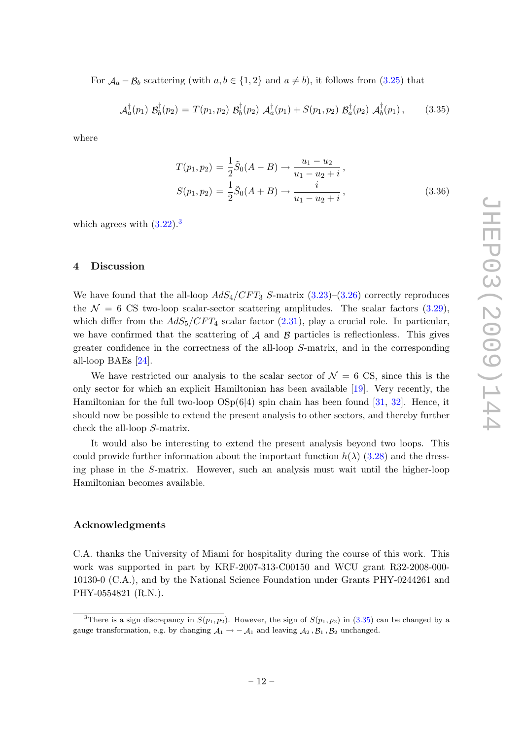For  $\mathcal{A}_a - \mathcal{B}_b$  scattering (with  $a, b \in \{1, 2\}$  and  $a \neq b$ ), it follows from [\(3.25\)](#page-10-1) that

<span id="page-12-2"></span>
$$
\mathcal{A}_a^{\dagger}(p_1) \; \mathcal{B}_b^{\dagger}(p_2) = T(p_1, p_2) \; \mathcal{B}_b^{\dagger}(p_2) \; \mathcal{A}_a^{\dagger}(p_1) + S(p_1, p_2) \; \mathcal{B}_a^{\dagger}(p_2) \; \mathcal{A}_b^{\dagger}(p_1) \,, \tag{3.35}
$$

where

$$
T(p_1, p_2) = \frac{1}{2}\tilde{S}_0(A - B) \to \frac{u_1 - u_2}{u_1 - u_2 + i},
$$
  
\n
$$
S(p_1, p_2) = \frac{1}{2}\tilde{S}_0(A + B) \to \frac{i}{u_1 - u_2 + i},
$$
\n(3.36)

which agrees with  $(3.22)$  $(3.22)$  $(3.22)$ .<sup>3</sup>

#### <span id="page-12-0"></span>4 Discussion

We have found that the all-loop  $AdS_4/CFT_3$  S-matrix  $(3.23)$ – $(3.26)$  correctly reproduces the  $\mathcal{N} = 6$  CS two-loop scalar-sector scattering amplitudes. The scalar factors  $(3.29)$ , which differ from the  $AdS_5/CFT_4$  scalar factor [\(2.31\)](#page-6-4), play a crucial role. In particular, we have confirmed that the scattering of  $A$  and  $B$  particles is reflectionless. This gives greater confidence in the correctness of the all-loop S-matrix, and in the corresponding all-loop BAEs [\[24\]](#page-17-0).

We have restricted our analysis to the scalar sector of  $\mathcal{N} = 6$  CS, since this is the only sector for which an explicit Hamiltonian has been available [\[19\]](#page-16-7). Very recently, the Hamiltonian for the full two-loop  $OSp(6|4)$  spin chain has been found [\[31,](#page-18-0) [32\]](#page-18-1). Hence, it should now be possible to extend the present analysis to other sectors, and thereby further check the all-loop S-matrix.

It would also be interesting to extend the present analysis beyond two loops. This could provide further information about the important function  $h(\lambda)$  [\(3.28\)](#page-10-3) and the dressing phase in the S-matrix. However, such an analysis must wait until the higher-loop Hamiltonian becomes available.

#### Acknowledgments

C.A. thanks the University of Miami for hospitality during the course of this work. This work was supported in part by KRF-2007-313-C00150 and WCU grant R32-2008-000- 10130-0 (C.A.), and by the National Science Foundation under Grants PHY-0244261 and PHY-0554821 (R.N.).

<span id="page-12-1"></span><sup>&</sup>lt;sup>3</sup>There is a sign discrepancy in  $S(p_1, p_2)$ . However, the sign of  $S(p_1, p_2)$  in [\(3.35\)](#page-12-2) can be changed by a gauge transformation, e.g. by changing  $A_1 \rightarrow -A_1$  and leaving  $A_2$ ,  $B_1$ ,  $B_2$  unchanged.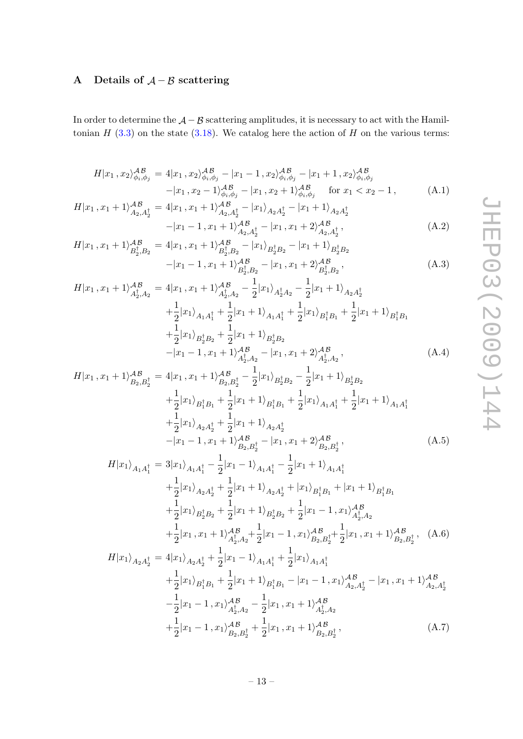# <span id="page-13-0"></span>A Details of  $A - B$  scattering

In order to determine the  $A - B$  scattering amplitudes, it is necessary to act with the Hamiltonian  $H(3.3)$  $H(3.3)$  on the state  $(3.18)$ . We catalog here the action of H on the various terms:

<span id="page-13-1"></span>
$$
H|x_1, x_2\rangle_{\phi_i, \phi_j}^{AB} = 4|x_1, x_2\rangle_{\phi_i, \phi_j}^{AB} - |x_1 - 1, x_2\rangle_{\phi_i, \phi_j}^{AB} - |x_1 + 1, x_2\rangle_{\phi_i, \phi_j}^{AB}
$$

$$
-|x_1, x_2 - 1\rangle_{\phi_i, \phi_j}^{AB} - |x_1, x_2 + 1\rangle_{\phi_i, \phi_j}^{AB} \quad \text{for } x_1 < x_2 - 1,
$$
 (A.1)

$$
H|x_1, x_1 + 1\rangle_{A_2, A_2^{\dagger}}^{AB} = 4|x_1, x_1 + 1\rangle_{A_2, A_2^{\dagger}}^{AB} - |x_1\rangle_{A_2, A_2^{\dagger}} - |x_1 + 1\rangle_{A_2, A_2^{\dagger}} - |x_1 - 1, x_1 + 1\rangle_{A_2, A_2^{\dagger}}^{AB} - |x_1, x_1 + 2\rangle_{A_2, A_2^{\dagger}}^{AB},
$$
\n(A.2)

$$
H|x_1, x_1 + 1\rangle_{B_2^{\dagger}, B_2}^{AB} = 4|x_1, x_1 + 1\rangle_{B_2^{\dagger}, B_2}^{AB} - |x_1\rangle_{B_2^{\dagger}B_2} - |x_1 + 1\rangle_{B_2^{\dagger}B_2}^{AB} - |x_1 - 1, x_1 + 1\rangle_{B_2^{\dagger}, B_2}^{AB} - |x_1, x_1 + 2\rangle_{B_2^{\dagger}, B_2}^{AB},
$$
(A.3)

$$
H|x_1, x_1 + 1\rangle_{A_2^{\dagger}, A_2}^{AB} = 4|x_1, x_1 + 1\rangle_{A_2^{\dagger}, A_2}^{AB} - \frac{1}{2}|x_1\rangle_{A_2^{\dagger}, A_2} - \frac{1}{2}|x_1 + 1\rangle_{A_2 A_2^{\dagger}} + \frac{1}{2}|x_1\rangle_{A_1 A_1^{\dagger}} + \frac{1}{2}|x_1\rangle_{A_1 A_1^{\dagger}} + \frac{1}{2}|x_1\rangle_{B_1^{\dagger} B_1} + \frac{1}{2}|x_1 + 1\rangle_{B_1^{\dagger} B_1} + \frac{1}{2}|x_1\rangle_{B_2^{\dagger} B_2} + \frac{1}{2}|x_1 + 1\rangle_{B_2^{\dagger} B_2} - |x_1 - 1, x_1 + 1\rangle_{A_2^{\dagger}, A_2}^{AB} - |x_1, x_1 + 2\rangle_{A_2^{\dagger}, A_2}^{AB}, \tag{A.4}
$$

$$
H|x_1, x_1 + 1\rangle_{B_2, B_2^{\dagger}}^{\mathcal{AB}} = 4|x_1, x_1 + 1\rangle_{B_2, B_2^{\dagger}}^{\mathcal{AB}} - \frac{1}{2}|x_1\rangle_{B_2^{\dagger}B_2} - \frac{1}{2}|x_1 + 1\rangle_{B_2^{\dagger}B_2}
$$
  
+  $\frac{1}{2}|x_1\rangle_{B_1^{\dagger}B_1} + \frac{1}{2}|x_1 + 1\rangle_{B_1^{\dagger}B_1} + \frac{1}{2}|x_1\rangle_{A_1A_1^{\dagger}} + \frac{1}{2}|x_1 + 1\rangle_{A_1A_1^{\dagger}}$   
+  $\frac{1}{2}|x_1\rangle_{A_2A_2^{\dagger}} + \frac{1}{2}|x_1 + 1\rangle_{A_2A_2^{\dagger}}$   
-  $|x_1 - 1, x_1 + 1\rangle_{B_2, B_2^{\dagger}}^{\mathcal{AB}}$   $- |x_1, x_1 + 2\rangle_{B_2, B_2^{\dagger}}^{\mathcal{AB}},$  (A.5)

$$
H|x_1\rangle_{A_1A_1^{\dagger}} = 3|x_1\rangle_{A_1A_1^{\dagger}} - \frac{1}{2}|x_1 - 1\rangle_{A_1A_1^{\dagger}} - \frac{1}{2}|x_1 + 1\rangle_{A_1A_1^{\dagger}}
$$
  
+ 
$$
\frac{1}{2}|x_1\rangle_{A_2A_2^{\dagger}} + \frac{1}{2}|x_1 + 1\rangle_{A_2A_2^{\dagger}} + |x_1\rangle_{B_1^{\dagger}B_1} + |x_1 + 1\rangle_{B_1^{\dagger}B_1}
$$
  
+ 
$$
\frac{1}{2}|x_1\rangle_{B_2^{\dagger}B_2} + \frac{1}{2}|x_1 + 1\rangle_{B_2^{\dagger}B_2} + \frac{1}{2}|x_1 - 1, x_1\rangle_{A_2^{\dagger}A_2}^{AB}
$$
  
+ 
$$
\frac{1}{2}|x_1, x_1 + 1\rangle_{A_2^{\dagger}A_2}^{AB} + \frac{1}{2}|x_1 - 1, x_1\rangle_{B_2,B_2^{\dagger}}^{AB} + \frac{1}{2}|x_1, x_1 + 1\rangle_{B_2,B_2^{\dagger}}^{AB}, \quad (A.6)
$$
  

$$
H|x_1\rangle_{A_2A_2^{\dagger}} = 4|x_1\rangle_{A_2A_2^{\dagger}} + \frac{1}{2}|x_1 - 1\rangle_{A_1A_1^{\dagger}} + \frac{1}{2}|x_1\rangle_{A_1A_1^{\dagger}}
$$
  
+ 
$$
\frac{1}{2}|x_1\rangle_{B_1^{\dagger}B_1} + \frac{1}{2}|x_1 + 1\rangle_{B_1^{\dagger}B_1} - |x_1 - 1, x_1\rangle_{A_2,A_2^{\dagger}}^{AB} - |x_1, x_1 + 1\rangle_{A_2,A_2^{\dagger}}^{AB}
$$
  
- 
$$
\frac{1}{2}|x_1 - 1, x_1\rangle_{A_2^{\dagger}A_2}^{AB} - \frac{1}{2}|x_1, x_1 + 1\rangle_{A_2^{\dagger}A_2}^{AB}
$$

$$
-\frac{1}{2}|x_1 - 1, x_1\rangle_{A_2^{\dagger}, A_2}^{AB} - \frac{1}{2}|x_1, x_1 + 1\rangle_{A_2^{\dagger}, A_2}^{AB}
$$
  
+
$$
\frac{1}{2}|x_1 - 1, x_1\rangle_{B_2, B_2^{\dagger}}^{AB} + \frac{1}{2}|x_1, x_1 + 1\rangle_{B_2, B_2^{\dagger}}^{AB},
$$
(A.7)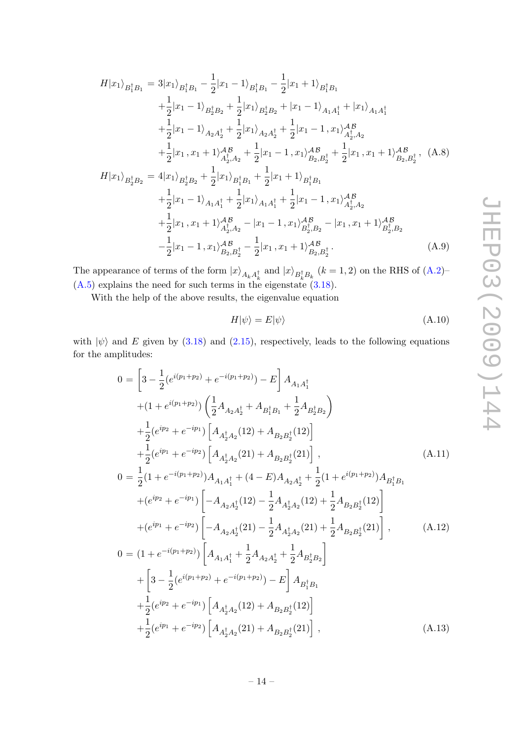$$
H|x_{1}\rangle_{B_{1}^{\dagger}B_{1}} = 3|x_{1}\rangle_{B_{1}^{\dagger}B_{1}} - \frac{1}{2}|x_{1}-1\rangle_{B_{1}^{\dagger}B_{1}} - \frac{1}{2}|x_{1}+1\rangle_{B_{1}^{\dagger}B_{1}}
$$
  
\n
$$
+ \frac{1}{2}|x_{1}-1\rangle_{B_{2}^{\dagger}B_{2}} + \frac{1}{2}|x_{1}\rangle_{B_{2}^{\dagger}B_{2}} + |x_{1}-1\rangle_{A_{1}A_{1}^{\dagger}} + |x_{1}\rangle_{A_{1}A_{1}^{\dagger}}
$$
  
\n
$$
+ \frac{1}{2}|x_{1}-1\rangle_{A_{2}A_{2}^{\dagger}} + \frac{1}{2}|x_{1}\rangle_{A_{2}A_{2}^{\dagger}} + \frac{1}{2}|x_{1}-1, x_{1}\rangle_{A_{2}^{\dagger}A_{2}}^{AB}
$$
  
\n
$$
+ \frac{1}{2}|x_{1}, x_{1}+1\rangle_{A_{2}^{\dagger}A_{2}}^{AB} + \frac{1}{2}|x_{1}-1, x_{1}\rangle_{B_{2},B_{2}^{\dagger}}^{AB} + \frac{1}{2}|x_{1}, x_{1}+1\rangle_{B_{2},B_{2}^{\dagger}}^{AB}, (A.8)
$$
  
\n
$$
H|x_{1}\rangle_{B_{2}^{\dagger}B_{2}} = 4|x_{1}\rangle_{B_{2}^{\dagger}B_{2}} + \frac{1}{2}|x_{1}\rangle_{B_{1}^{\dagger}B_{1}} + \frac{1}{2}|x_{1}+1\rangle_{B_{1}^{\dagger}B_{1}}
$$
  
\n
$$
+ \frac{1}{2}|x_{1}-1\rangle_{A_{1}A_{1}^{\dagger}} + \frac{1}{2}|x_{1}\rangle_{A_{1}A_{1}^{\dagger}} + \frac{1}{2}|x_{1}-1, x_{1}\rangle_{A_{2}^{\dagger}A_{2}}^{AB}
$$
  
\n
$$
+ \frac{1}{2}|x_{1}, x_{1}+1\rangle_{A_{2}^{\dagger}A_{2}}^{AB} - |x_{1}-1, x_{1}\rangle_{B_{2}^{\dagger}B_{2}}^{AB} - |x_{1}, x_{1}+1\rangle_{B_{2}^{\dagger}B_{2
$$

The appearance of terms of the form  $|x\rangle_{A_kA_k^{\dagger}}$  and  $|x\rangle_{B_k^{\dagger}B_k}$   $(k = 1, 2)$  on the RHS of  $(A.2)$ –  $(A.5)$  explains the need for such terms in the eigenstate  $(3.18)$ .

With the help of the above results, the eigenvalue equation

$$
H|\psi\rangle = E|\psi\rangle \tag{A.10}
$$

with  $|\psi\rangle$  and E given by [\(3.18\)](#page-9-5) and [\(2.15\)](#page-4-4), respectively, leads to the following equations for the amplitudes:

$$
0 = \left[3 - \frac{1}{2}(e^{i(p_1+p_2)} + e^{-i(p_1+p_2)}) - E\right]A_{A_1A_1^{\dagger}} + (1 + e^{i(p_1+p_2)})\left(\frac{1}{2}A_{A_2A_2^{\dagger}} + A_{B_1^{\dagger}B_1} + \frac{1}{2}A_{B_2^{\dagger}B_2}\right) + \frac{1}{2}(e^{ip_2} + e^{-ip_1})\left[A_{A_2^{\dagger}A_2}(12) + A_{B_2B_2^{\dagger}}(12)\right] + \frac{1}{2}(e^{ip_1} + e^{-ip_2})\left[A_{A_2^{\dagger}A_2}(21) + A_{B_2B_2^{\dagger}}(21)\right],
$$
(A.11)  

$$
0 = \frac{1}{2}(1 + e^{-i(p_1+p_2)})A_{A_1A_1^{\dagger}} + (4 - E)A_{A_2A_2^{\dagger}} + \frac{1}{2}(1 + e^{i(p_1+p_2)})A_{B_1^{\dagger}B_1} + (e^{ip_2} + e^{-ip_1})\left[-A_{A_2A_2^{\dagger}}(12) - \frac{1}{2}A_{A_2^{\dagger}A_2}(12) + \frac{1}{2}A_{B_2B_2^{\dagger}}(12)\right] + (e^{ip_1} + e^{-ip_2})\left[-A_{A_2A_2^{\dagger}}(21) - \frac{1}{2}A_{A_2^{\dagger}A_2}(21) + \frac{1}{2}A_{B_2B_2^{\dagger}}(21)\right],
$$
(A.12)  

$$
0 = (1 + e^{-i(p_1+p_2)})\left[A_{A_1A_1^{\dagger}} + \frac{1}{2}A_{A_2A_2^{\dagger}} + \frac{1}{2}A_{B_2^{\dagger}B_2}\right] + \left[3 - \frac{1}{2}(e^{i(p_1+p_2)} + e^{-i(p_1+p_2)}) - E\right]A_{B_1^{\dagger}B_1} + \frac{1}{2}(e^{ip_2} + e^{-ip_1})\left[A_{A_2^{\dagger}A_2}(12) + A_{B_2B_2^{\dagger}}(12)\right] + \frac{1}{2}(e^{ip_1} + e
$$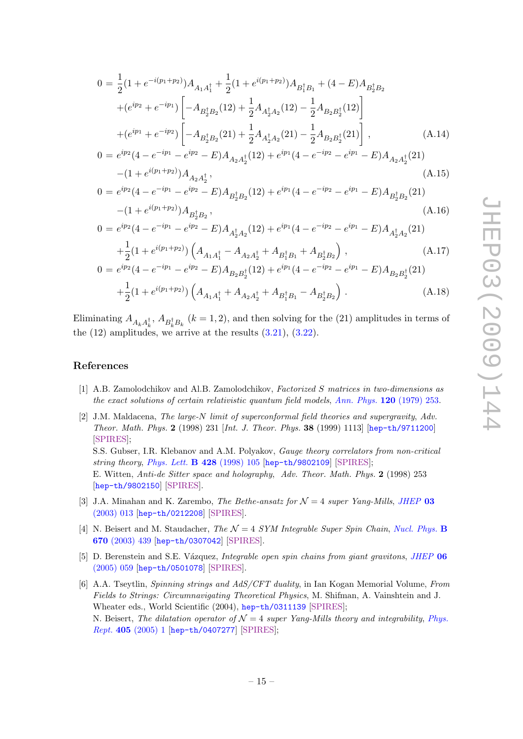$$
0 = \frac{1}{2} (1 + e^{-i(p_1 + p_2)}) A_{A_1 A_1^{\dagger}} + \frac{1}{2} (1 + e^{i(p_1 + p_2)}) A_{B_1^{\dagger} B_1} + (4 - E) A_{B_2^{\dagger} B_2}
$$
  
+ 
$$
(e^{ip_2} + e^{-ip_1}) \left[ -A_{B_2^{\dagger} B_2} (12) + \frac{1}{2} A_{A_2^{\dagger} A_2} (12) - \frac{1}{2} A_{B_2 B_2^{\dagger}} (12) \right]
$$
  
+ 
$$
(e^{ip_1} + e^{-ip_2}) \left[ -A_{B_2^{\dagger} B_2} (21) + \frac{1}{2} A_{A_2^{\dagger} A_2} (21) - \frac{1}{2} A_{B_2 B_2^{\dagger}} (21) \right],
$$

$$
0 = e^{ip_2} (4 - e^{-ip_1} - e^{ip_2} - E) A_{A_2 A_2^{\dagger}} (12) + e^{ip_1} (4 - e^{-ip_2} - e^{ip_1} - E) A_{A_2 A_2^{\dagger}} (21)
$$

$$
- (1 + e^{i(p_1 + p_2)}) A_{A_2 A_2^{\dagger}},
$$
(A.15)

$$
0 = e^{ip_2}(4 - e^{-ip_1} - e^{ip_2} - E)A_{B_2^{\dagger}B_2}(12) + e^{ip_1}(4 - e^{-ip_2} - e^{ip_1} - E)A_{B_2^{\dagger}B_2}(21)
$$

$$
-(1 + e^{i(p_1 + p_2)})A_{B_2^{\dagger}B_2}, \qquad (A.16)
$$

$$
-(1 + e^{i(p_1 + p_2)})A_{B_2^{\dagger}B_2},
$$
\n
$$
0 = e^{ip_2}(4 - e^{-ip_1} - e^{ip_2} - E)A_{A_2^{\dagger}A_2}(12) + e^{ip_1}(4 - e^{-ip_2} - e^{ip_1} - E)A_{A_2^{\dagger}A_2}(21)
$$
\n
$$
(A.15)
$$
\n
$$
(A.17)
$$

$$
+\frac{1}{2}(1+e^{i(p_1+p_2)})\left(A_{A_1A_1^{\dagger}}-A_{A_2A_2^{\dagger}}+A_{B_1^{\dagger}B_1}+A_{B_2^{\dagger}B_2}\right),
$$
\n
$$
=e^{ip_2}(4-e^{-ip_1}-e^{ip_2}-E)A_{B_2B_2^{\dagger}}(12)+e^{ip_1}(4-e^{-ip_2}-e^{ip_1}-E)A_{B_2B_2^{\dagger}}(21)
$$
\n(A.17)

$$
+\frac{1}{2}(1+e^{i(p_1+p_2)})\left(A_{A_1A_1^{\dagger}}+A_{A_2A_2^{\dagger}}+A_{B_1^{\dagger}B_1}-A_{B_2^{\dagger}B_2}\right).
$$
 (A.18)

Eliminating  $A_{A_k A_k^{\dagger}}$ ,  $A_{B_k^{\dagger} B_k}$  ( $k = 1, 2$ ), and then solving for the (21) amplitudes in terms of the  $(12)$  amplitudes, we arrive at the results  $(3.21)$ ,  $(3.22)$ .

# References

 $\overline{0}$ 

- <span id="page-15-0"></span>[1] A.B. Zamolodchikov and Al.B. Zamolodchikov, Factorized S matrices in two-dimensions as the exact solutions of certain relativistic quantum field models, [Ann. Phys.](http://dx.doi.org/10.1016/0003-4916(79)90391-9) 120 (1979) 253.
- <span id="page-15-1"></span>[2] J.M. Maldacena, The large-N limit of superconformal field theories and supergravity, Adv. Theor. Math. Phys. 2 (1998) 231 [Int. J. Theor. Phys. 38 (1999) 1113] [[hep-th/9711200](http://arxiv.org/abs/hep-th/9711200)] [\[SPIRES\]](http://www-spires.slac.stanford.edu/spires/find/hep/www?eprint=HEP-TH/9711200); S.S. Gubser, I.R. Klebanov and A.M. Polyakov, Gauge theory correlators from non-critical string theory, [Phys. Lett.](http://dx.doi.org/10.1016/S0370-2693(98)00377-3)  $\bf{B}$  428 (1998) 105 [[hep-th/9802109](http://arxiv.org/abs/hep-th/9802109)] [\[SPIRES\]](http://www-spires.slac.stanford.edu/spires/find/hep/www?eprint=HEP-TH/9802109);

E. Witten, Anti-de Sitter space and holography, Adv. Theor. Math. Phys. 2 (1998) 253 [[hep-th/9802150](http://arxiv.org/abs/hep-th/9802150)] [\[SPIRES\]](http://www-spires.slac.stanford.edu/spires/find/hep/www?eprint=HEP-TH/9802150).

- <span id="page-15-2"></span>[3] J.A. Minahan and K. Zarembo, The Bethe-ansatz for  $\mathcal{N}=4$  super Yang-Mills, [JHEP](http://dx.doi.org/10.1088/1126-6708/2003/03/013) 03 [\(2003\) 013](http://dx.doi.org/10.1088/1126-6708/2003/03/013) [[hep-th/0212208](http://arxiv.org/abs/hep-th/0212208)] [\[SPIRES\]](http://www-spires.slac.stanford.edu/spires/find/hep/www?eprint=HEP-TH/0212208).
- [4] N. Beisert and M. Staudacher, The  $\mathcal{N} = 4$  SYM Integrable Super Spin Chain, [Nucl. Phys.](http://dx.doi.org/10.1016/j.nuclphysb.2003.08.015) B 670 [\(2003\) 439](http://dx.doi.org/10.1016/j.nuclphysb.2003.08.015) [[hep-th/0307042](http://arxiv.org/abs/hep-th/0307042)] [\[SPIRES\]](http://www-spires.slac.stanford.edu/spires/find/hep/www?eprint=HEP-TH/0307042).
- <span id="page-15-4"></span>[5] D. Berenstein and S.E. Vázquez, *Integrable open spin chains from giant gravitons*, *[JHEP](http://dx.doi.org/10.1088/1126-6708/2005/06/059)* 06 [\(2005\) 059](http://dx.doi.org/10.1088/1126-6708/2005/06/059) [[hep-th/0501078](http://arxiv.org/abs/hep-th/0501078)] [\[SPIRES\]](http://www-spires.slac.stanford.edu/spires/find/hep/www?eprint=HEP-TH/0501078).
- <span id="page-15-3"></span>[6] A.A. Tseytlin, Spinning strings and AdS/CFT duality, in Ian Kogan Memorial Volume, From Fields to Strings: Circumnavigating Theoretical Physics, M. Shifman, A. Vainshtein and J. Wheater eds., World Scientific (2004), [hep-th/0311139](http://arxiv.org/abs/hep-th/0311139) [\[SPIRES\]](http://www-spires.slac.stanford.edu/spires/find/hep/www?eprint=HEP-TH/0311139); N. Beisert, The dilatation operator of  $\mathcal{N}=4$  super Yang-Mills theory and integrability, [Phys.](http://dx.doi.org/10.1016/j.physrep.2004.09.007) Rept. 405 [\(2005\) 1](http://dx.doi.org/10.1016/j.physrep.2004.09.007) [[hep-th/0407277](http://arxiv.org/abs/hep-th/0407277)] [\[SPIRES\]](http://www-spires.slac.stanford.edu/spires/find/hep/www?eprint=HEP-TH/0407277);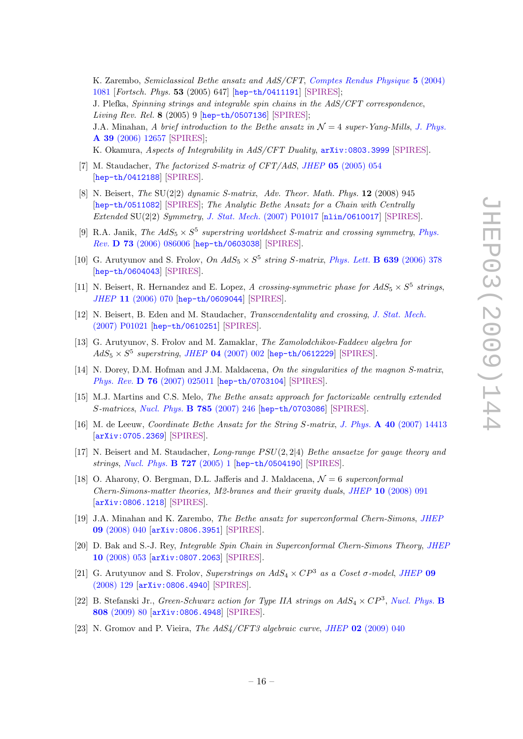K. Zarembo, Semiclassical Bethe ansatz and AdS/CFT, [Comptes Rendus Physique](http://dx.doi.org/10.1002/prop.200410233) 5 (2004) [1081](http://dx.doi.org/10.1002/prop.200410233) [Fortsch. Phys. 53 (2005) 647] [[hep-th/0411191](http://arxiv.org/abs/hep-th/0411191)] [\[SPIRES\]](http://www-spires.slac.stanford.edu/spires/find/hep/www?eprint=HEP-TH/0411191); J. Plefka, Spinning strings and integrable spin chains in the AdS/CFT correspondence, Living Rev. Rel. 8 (2005) 9 [[hep-th/0507136](http://arxiv.org/abs/hep-th/0507136)] [\[SPIRES\]](http://www-spires.slac.stanford.edu/spires/find/hep/www?eprint=HEP-TH/0507136); J.A. Minahan, A brief introduction to the Bethe ansatz in  $\mathcal{N}=4$  super-Yang-Mills, [J. Phys.](http://dx.doi.org/10.1088/0305-4470/39/41/S02) A 39 [\(2006\) 12657](http://dx.doi.org/10.1088/0305-4470/39/41/S02) [\[SPIRES\]](http://www-spires.slac.stanford.edu/spires/find/hep/www?j=JPAGB,A39,12657); K. Okamura, Aspects of Integrability in AdS/CFT Duality, [arXiv:0803.3999](http://arxiv.org/abs/0803.3999) [\[SPIRES\]](http://www-spires.slac.stanford.edu/spires/find/hep/www?eprint=0803.3999).

- <span id="page-16-0"></span>[7] M. Staudacher, *The factorized S-matrix of CFT/AdS*, *JHEP* 05 [\(2005\) 054](http://dx.doi.org/10.1088/1126-6708/2005/05/054) [[hep-th/0412188](http://arxiv.org/abs/hep-th/0412188)] [\[SPIRES\]](http://www-spires.slac.stanford.edu/spires/find/hep/www?eprint=HEP-TH/0412188).
- <span id="page-16-2"></span>[8] N. Beisert, The  $SU(2|2)$  dynamic S-matrix, Adv. Theor. Math. Phys. 12 (2008) 945 [[hep-th/0511082](http://arxiv.org/abs/hep-th/0511082)] [\[SPIRES\]](http://www-spires.slac.stanford.edu/spires/find/hep/www?eprint=HEP-TH/0511082); The Analytic Bethe Ansatz for a Chain with Centrally Extended SU(2|2) Symmetry, J. Stat. Mech. [\(2007\) P01017](http://dx.doi.org/10.1088/1742-5468/2007/01/P01017) [[nlin/0610017](http://arxiv.org/abs/nlin/0610017)] [\[SPIRES\]](http://www-spires.slac.stanford.edu/spires/find/hep/www?eprint=nlin/0610017).
- [9] R.A. Janik, The  $AdS_5 \times S^5$  superstring worldsheet S-matrix and crossing symmetry, [Phys.](http://dx.doi.org/10.1103/PhysRevD.73.086006) Rev. D 73 [\(2006\) 086006](http://dx.doi.org/10.1103/PhysRevD.73.086006) [[hep-th/0603038](http://arxiv.org/abs/hep-th/0603038)] [\[SPIRES\]](http://www-spires.slac.stanford.edu/spires/find/hep/www?eprint=HEP-TH/0603038).
- [10] G. Arutyunov and S. Frolov, On  $AdS_5 \times S^5$  string S-matrix, [Phys. Lett.](http://dx.doi.org/10.1016/j.physletb.2006.06.064) **B 639** (2006) 378 [[hep-th/0604043](http://arxiv.org/abs/hep-th/0604043)] [\[SPIRES\]](http://www-spires.slac.stanford.edu/spires/find/hep/www?eprint=HEP-TH/0604043).
- [11] N. Beisert, R. Hernandez and E. Lopez, A crossing-symmetric phase for  $AdS_5 \times S^5$  strings, JHEP 11 [\(2006\) 070](http://dx.doi.org/10.1088/1126-6708/2006/11/070) [[hep-th/0609044](http://arxiv.org/abs/hep-th/0609044)] [\[SPIRES\]](http://www-spires.slac.stanford.edu/spires/find/hep/www?eprint=HEP-TH/0609044).
- <span id="page-16-11"></span>[12] N. Beisert, B. Eden and M. Staudacher, Transcendentality and crossing, [J. Stat. Mech.](http://dx.doi.org/10.1088/1742-5468/2007/01/P01021) [\(2007\) P01021](http://dx.doi.org/10.1088/1742-5468/2007/01/P01021) [[hep-th/0610251](http://arxiv.org/abs/hep-th/0610251)] [\[SPIRES\]](http://www-spires.slac.stanford.edu/spires/find/hep/www?eprint=HEP-TH/0610251).
- [13] G. Arutyunov, S. Frolov and M. Zamaklar, The Zamolodchikov-Faddeev algebra for  $AdS_5 \times S^5$  superstring, JHEP 04 [\(2007\) 002](http://dx.doi.org/10.1088/1126-6708/2007/04/002) [[hep-th/0612229](http://arxiv.org/abs/hep-th/0612229)] [\[SPIRES\]](http://www-spires.slac.stanford.edu/spires/find/hep/www?eprint=HEP-TH/0612229).
- <span id="page-16-1"></span>[14] N. Dorey, D.M. Hofman and J.M. Maldacena, On the singularities of the magnon S-matrix, Phys. Rev. D 76 [\(2007\) 025011](http://dx.doi.org/10.1103/PhysRevD.76.025011) [[hep-th/0703104](http://arxiv.org/abs/hep-th/0703104)] [\[SPIRES\]](http://www-spires.slac.stanford.edu/spires/find/hep/www?eprint=HEP-TH/0703104).
- <span id="page-16-3"></span>[15] M.J. Martins and C.S. Melo, The Bethe ansatz approach for factorizable centrally extended S-matrices, [Nucl. Phys.](http://dx.doi.org/10.1016/j.nuclphysb.2007.05.021) B 785 (2007) 246 [[hep-th/0703086](http://arxiv.org/abs/hep-th/0703086)] [\[SPIRES\]](http://www-spires.slac.stanford.edu/spires/find/hep/www?eprint=HEP-TH/0703086).
- <span id="page-16-4"></span>[16] M. de Leeuw, Coordinate Bethe Ansatz for the String S-matrix, J. Phys. A 40 [\(2007\) 14413](http://dx.doi.org/10.1088/1751-8113/40/48/008) [[arXiv:0705.2369](http://arxiv.org/abs/0705.2369)] [\[SPIRES\]](http://www-spires.slac.stanford.edu/spires/find/hep/www?eprint=0705.2369).
- <span id="page-16-5"></span>[17] N. Beisert and M. Staudacher, Long-range  $PSU(2, 2|4)$  Bethe ansaetze for gauge theory and strings, [Nucl. Phys.](http://dx.doi.org/10.1016/j.nuclphysb.2005.06.038) B 727 (2005) 1 [[hep-th/0504190](http://arxiv.org/abs/hep-th/0504190)] [\[SPIRES\]](http://www-spires.slac.stanford.edu/spires/find/hep/www?eprint=HEP-TH/0504190).
- <span id="page-16-6"></span>[18] O. Aharony, O. Bergman, D.L. Jafferis and J. Maldacena,  $\mathcal{N}=6$  superconformal Chern-Simons-matter theories, M2-branes and their gravity duals, JHEP 10 [\(2008\) 091](http://dx.doi.org/10.1088/1126-6708/2008/10/091) [[arXiv:0806.1218](http://arxiv.org/abs/0806.1218)] [\[SPIRES\]](http://www-spires.slac.stanford.edu/spires/find/hep/www?eprint=0806.1218).
- <span id="page-16-7"></span>[19] J.A. Minahan and K. Zarembo, The Bethe ansatz for superconformal Chern-Simons, [JHEP](http://dx.doi.org/10.1088/1126-6708/2008/09/040) 09 [\(2008\) 040](http://dx.doi.org/10.1088/1126-6708/2008/09/040) [[arXiv:0806.3951](http://arxiv.org/abs/0806.3951)] [\[SPIRES\]](http://www-spires.slac.stanford.edu/spires/find/hep/www?eprint=0806.3951).
- <span id="page-16-8"></span>[20] D. Bak and S.-J. Rey, Integrable Spin Chain in Superconformal Chern-Simons Theory, [JHEP](http://dx.doi.org/10.1088/1126-6708/2008/10/053) 10 [\(2008\) 053](http://dx.doi.org/10.1088/1126-6708/2008/10/053) [[arXiv:0807.2063](http://arxiv.org/abs/0807.2063)] [\[SPIRES\]](http://www-spires.slac.stanford.edu/spires/find/hep/www?eprint=0807.2063).
- <span id="page-16-9"></span>[21] G. Arutyunov and S. Frolov, Superstrings on  $AdS_4 \times CP^3$  as a Coset  $\sigma$ -model, [JHEP](http://dx.doi.org/10.1088/1126-6708/2008/09/129) 09 [\(2008\) 129](http://dx.doi.org/10.1088/1126-6708/2008/09/129) [[arXiv:0806.4940](http://arxiv.org/abs/0806.4940)] [\[SPIRES\]](http://www-spires.slac.stanford.edu/spires/find/hep/www?eprint=0806.4940).
- [22] B. Stefanski Jr., Green-Schwarz action for Type IIA strings on  $AdS_4 \times CP^3$ , [Nucl. Phys.](http://dx.doi.org/10.1016/j.nuclphysb.2008.09.015) B 808 [\(2009\) 80](http://dx.doi.org/10.1016/j.nuclphysb.2008.09.015) [[arXiv:0806.4948](http://arxiv.org/abs/0806.4948)] [\[SPIRES\]](http://www-spires.slac.stanford.edu/spires/find/hep/www?eprint=0806.4948).
- <span id="page-16-10"></span>[23] N. Gromov and P. Vieira, *The AdS4/CFT3 algebraic curve*, *JHEP* 02 [\(2009\) 040](http://dx.doi.org/10.1088/1126-6708/2009/02/040)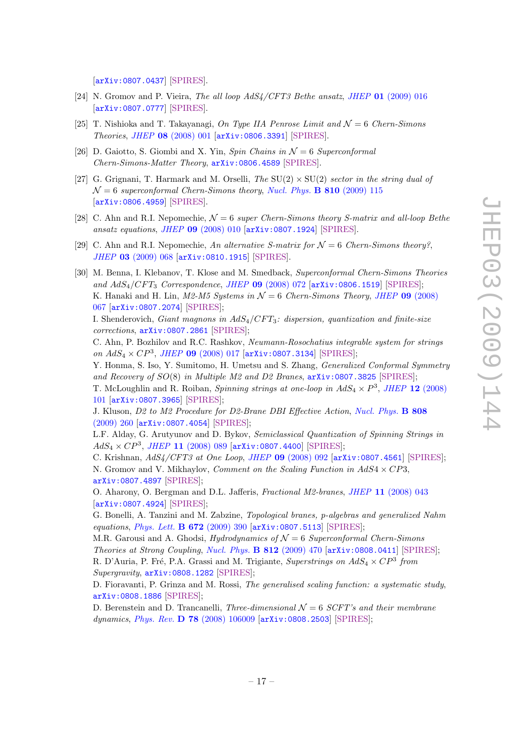[[arXiv:0807.0437](http://arxiv.org/abs/0807.0437)] [\[SPIRES\]](http://www-spires.slac.stanford.edu/spires/find/hep/www?eprint=0807.0437).

- <span id="page-17-0"></span>[24] N. Gromov and P. Vieira, The all loop  $AdS4/CFT3$  Bethe ansatz, JHEP 01 [\(2009\) 016](http://dx.doi.org/10.1088/1126-6708/2009/01/016) [[arXiv:0807.0777](http://arxiv.org/abs/0807.0777)] [\[SPIRES\]](http://www-spires.slac.stanford.edu/spires/find/hep/www?eprint=0807.0777).
- <span id="page-17-1"></span>[25] T. Nishioka and T. Takayanagi, On Type IIA Penrose Limit and  $\mathcal{N}=6$  Chern-Simons Theories, JHEP 08 [\(2008\) 001](http://dx.doi.org/10.1088/1126-6708/2008/08/001) [[arXiv:0806.3391](http://arxiv.org/abs/0806.3391)] [\[SPIRES\]](http://www-spires.slac.stanford.edu/spires/find/hep/www?eprint=0806.3391).
- <span id="page-17-2"></span>[26] D. Gaiotto, S. Giombi and X. Yin, Spin Chains in  $\mathcal{N}=6$  Superconformal Chern-Simons-Matter Theory, [arXiv:0806.4589](http://arxiv.org/abs/0806.4589) [\[SPIRES\]](http://www-spires.slac.stanford.edu/spires/find/hep/www?eprint=0806.4589).
- <span id="page-17-6"></span>[27] G. Grignani, T. Harmark and M. Orselli, The  $SU(2) \times SU(2)$  sector in the string dual of  $\mathcal{N}=6$  superconformal Chern-Simons theory, [Nucl. Phys.](http://dx.doi.org/10.1016/j.nuclphysb.2008.10.019) **B** 810 (2009) 115 [[arXiv:0806.4959](http://arxiv.org/abs/0806.4959)] [\[SPIRES\]](http://www-spires.slac.stanford.edu/spires/find/hep/www?eprint=0806.4959).
- <span id="page-17-3"></span>[28] C. Ahn and R.I. Nepomechie,  $\mathcal{N}=6$  super Chern-Simons theory S-matrix and all-loop Bethe ansatz equations, JHEP 09 [\(2008\) 010](http://dx.doi.org/10.1088/1126-6708/2008/09/010) [[arXiv:0807.1924](http://arxiv.org/abs/0807.1924)] [\[SPIRES\]](http://www-spires.slac.stanford.edu/spires/find/hep/www?eprint=0807.1924).
- <span id="page-17-4"></span>[29] C. Ahn and R.I. Nepomechie, An alternative S-matrix for  $\mathcal{N}=6$  Chern-Simons theory?, JHEP 03 [\(2009\) 068](http://dx.doi.org/10.1088/1126-6708/2009/03/068) [[arXiv:0810.1915](http://arxiv.org/abs/0810.1915)] [\[SPIRES\]](http://www-spires.slac.stanford.edu/spires/find/hep/www?eprint=0810.1915).
- <span id="page-17-5"></span>[30] M. Benna, I. Klebanov, T. Klose and M. Smedback, Superconformal Chern-Simons Theories and  $AdS_4/CFT_3$  Correspondence, JHEP 09 [\(2008\) 072](http://dx.doi.org/10.1088/1126-6708/2008/09/072) [[arXiv:0806.1519](http://arxiv.org/abs/0806.1519)] [\[SPIRES\]](http://www-spires.slac.stanford.edu/spires/find/hep/www?eprint=0806.1519); K. Hanaki and H. Lin,  $M2-M5$  Systems in  $\mathcal{N}=6$  Chern-Simons Theory, JHEP 09 [\(2008\)](http://dx.doi.org/10.1088/1126-6708/2008/09/067) [067](http://dx.doi.org/10.1088/1126-6708/2008/09/067) [[arXiv:0807.2074](http://arxiv.org/abs/0807.2074)] [\[SPIRES\]](http://www-spires.slac.stanford.edu/spires/find/hep/www?eprint=0807.2074); I. Shenderovich, Giant magnons in  $AdS_4/CFT_3$ : dispersion, quantization and finite-size corrections, [arXiv:0807.2861](http://arxiv.org/abs/0807.2861) [\[SPIRES\]](http://www-spires.slac.stanford.edu/spires/find/hep/www?eprint=0807.2861); C. Ahn, P. Bozhilov and R.C. Rashkov, Neumann-Rosochatius integrable system for strings

on  $AdS_4 \times CP^3$ , JHEP 09 [\(2008\) 017](http://dx.doi.org/10.1088/1126-6708/2008/09/017) [[arXiv:0807.3134](http://arxiv.org/abs/0807.3134)] [\[SPIRES\]](http://www-spires.slac.stanford.edu/spires/find/hep/www?eprint=0807.3134);

Y. Honma, S. Iso, Y. Sumitomo, H. Umetsu and S. Zhang, Generalized Conformal Symmetry and Recovery of  $SO(8)$  in Multiple M2 and D2 Branes,  $arXiv:0807.3825$  [\[SPIRES\]](http://www-spires.slac.stanford.edu/spires/find/hep/www?eprint=0807.3825);

T. McLoughlin and R. Roiban, *Spinning strings at one-loop in*  $AdS_4 \times P^3$ *, JHEP* 12 [\(2008\)](http://dx.doi.org/10.1088/1126-6708/2008/12/101) [101](http://dx.doi.org/10.1088/1126-6708/2008/12/101) [[arXiv:0807.3965](http://arxiv.org/abs/0807.3965)] [\[SPIRES\]](http://www-spires.slac.stanford.edu/spires/find/hep/www?eprint=0807.3965);

J. Kluson, D2 to M2 Procedure for D2-Brane DBI Effective Action, [Nucl. Phys.](http://dx.doi.org/10.1016/j.nuclphysb.2008.09.028) B 808 [\(2009\) 260](http://dx.doi.org/10.1016/j.nuclphysb.2008.09.028) [[arXiv:0807.4054](http://arxiv.org/abs/0807.4054)] [\[SPIRES\]](http://www-spires.slac.stanford.edu/spires/find/hep/www?eprint=0807.4054);

L.F. Alday, G. Arutyunov and D. Bykov, Semiclassical Quantization of Spinning Strings in  $AdS_4 \times CP^3$ , JHEP 11 [\(2008\) 089](http://dx.doi.org/10.1088/1126-6708/2008/11/089) [[arXiv:0807.4400](http://arxiv.org/abs/0807.4400)] [\[SPIRES\]](http://www-spires.slac.stanford.edu/spires/find/hep/www?eprint=0807.4400);

C. Krishnan, AdS4/CFT3 at One Loop, JHEP 09 [\(2008\) 092](http://dx.doi.org/10.1088/1126-6708/2008/09/092) [[arXiv:0807.4561](http://arxiv.org/abs/0807.4561)] [\[SPIRES\]](http://www-spires.slac.stanford.edu/spires/find/hep/www?eprint=0807.4561); N. Gromov and V. Mikhaylov, *Comment on the Scaling Function in AdS4*  $\times$  CP3, [arXiv:0807.4897](http://arxiv.org/abs/0807.4897) [\[SPIRES\]](http://www-spires.slac.stanford.edu/spires/find/hep/www?eprint=0807.4897);

O. Aharony, O. Bergman and D.L. Jafferis, Fractional M2-branes, JHEP 11 [\(2008\) 043](http://dx.doi.org/10.1088/1126-6708/2008/11/043) [[arXiv:0807.4924](http://arxiv.org/abs/0807.4924)] [\[SPIRES\]](http://www-spires.slac.stanford.edu/spires/find/hep/www?eprint=0807.4924);

G. Bonelli, A. Tanzini and M. Zabzine, Topological branes, p-algebras and generalized Nahm equations, [Phys. Lett.](http://dx.doi.org/10.1016/j.physletb.2009.01.051) **B 672** (2009) 390  $\left[$ [arXiv:0807.5113](http://arxiv.org/abs/0807.5113)] [\[SPIRES\]](http://www-spires.slac.stanford.edu/spires/find/hep/www?eprint=0807.5113);

M.R. Garousi and A. Ghodsi, *Hydrodynamics of*  $\mathcal{N} = 6$  *Superconformal Chern-Simons* Theories at Strong Coupling, [Nucl. Phys.](http://dx.doi.org/10.1016/j.nuclphysb.2008.12.008) B 812 (2009) 470 [[arXiv:0808.0411](http://arxiv.org/abs/0808.0411)] [\[SPIRES\]](http://www-spires.slac.stanford.edu/spires/find/hep/www?eprint=0808.0411); R. D'Auria, P. Fré, P.A. Grassi and M. Trigiante, *Superstrings on*  $AdS_4 \times CP^3$  *from* 

Supergravity, [arXiv:0808.1282](http://arxiv.org/abs/0808.1282) [\[SPIRES\]](http://www-spires.slac.stanford.edu/spires/find/hep/www?eprint=0808.1282);

D. Fioravanti, P. Grinza and M. Rossi, The generalised scaling function: a systematic study, [arXiv:0808.1886](http://arxiv.org/abs/0808.1886) [\[SPIRES\]](http://www-spires.slac.stanford.edu/spires/find/hep/www?eprint=0808.1886);

D. Berenstein and D. Trancanelli, Three-dimensional  $\mathcal{N}=6$  SCFT's and their membrane dynamics, Phys. Rev. **D 78** [\(2008\) 106009](http://dx.doi.org/10.1103/PhysRevD.78.106009) [[arXiv:0808.2503](http://arxiv.org/abs/0808.2503)] [\[SPIRES\]](http://www-spires.slac.stanford.edu/spires/find/hep/www?eprint=0808.2503);